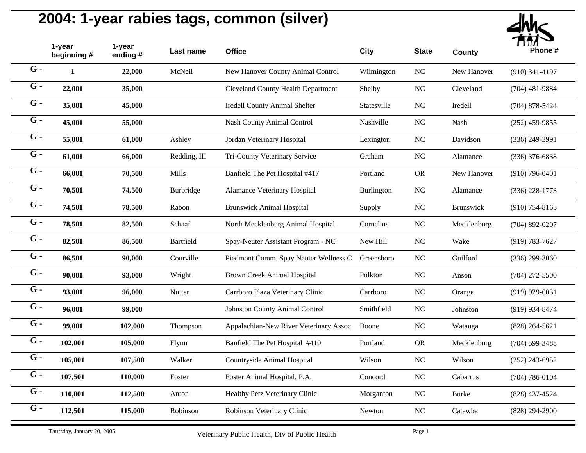

|                  | 1-year<br>beginning # | 1-year<br>ending# | Last name    | <b>Office</b>                             | City              | <b>State</b> | <b>County</b>    | Phone #            |
|------------------|-----------------------|-------------------|--------------|-------------------------------------------|-------------------|--------------|------------------|--------------------|
| $G -$            | $\mathbf{1}$          | 22,000            | McNeil       | New Hanover County Animal Control         | Wilmington        | $\rm NC$     | New Hanover      | $(910)$ 341-4197   |
| $G -$            | 22,001                | 35,000            |              | <b>Cleveland County Health Department</b> | Shelby            | $\rm NC$     | Cleveland        | $(704)$ 481-9884   |
| $G -$            | 35,001                | 45,000            |              | Iredell County Animal Shelter             | Statesville       | NC           | Iredell          | $(704)$ 878-5424   |
| $G -$            | 45,001                | 55,000            |              | Nash County Animal Control                | Nashville         | $\rm NC$     | Nash             | $(252)$ 459-9855   |
| $G -$            | 55,001                | 61,000            | Ashley       | Jordan Veterinary Hospital                | Lexington         | $\rm NC$     | Davidson         | $(336)$ 249-3991   |
| $G -$            | 61,001                | 66,000            | Redding, III | Tri-County Veterinary Service             | Graham            | $\rm NC$     | Alamance         | $(336)$ 376-6838   |
| $G -$            | 66,001                | 70,500            | Mills        | Banfield The Pet Hospital #417            | Portland          | ${\sf OR}$   | New Hanover      | $(910)$ 796-0401   |
| $G -$            | 70,501                | 74,500            | Burbridge    | Alamance Veterinary Hospital              | <b>Burlington</b> | NC           | Alamance         | $(336)$ 228-1773   |
| $G -$            | 74,501                | 78,500            | Rabon        | <b>Brunswick Animal Hospital</b>          | Supply            | $\rm NC$     | <b>Brunswick</b> | $(910)$ 754-8165   |
| $G -$            | 78,501                | 82,500            | Schaaf       | North Mecklenburg Animal Hospital         | Cornelius         | $\rm NC$     | Mecklenburg      | $(704)$ 892-0207   |
| $G -$            | 82,501                | 86,500            | Bartfield    | Spay-Neuter Assistant Program - NC        | New Hill          | NC           | Wake             | $(919) 783 - 7627$ |
| $G -$            | 86,501                | 90,000            | Courville    | Piedmont Comm. Spay Neuter Wellness C     | Greensboro        | $\rm NC$     | Guilford         | $(336)$ 299-3060   |
| $\overline{G}$ - | 90,001                | 93,000            | Wright       | <b>Brown Creek Animal Hospital</b>        | Polkton           | $\rm NC$     | Anson            | $(704)$ 272-5500   |
| $G -$            | 93,001                | 96,000            | Nutter       | Carrboro Plaza Veterinary Clinic          | Carrboro          | $\rm NC$     | Orange           | $(919)$ 929-0031   |
| $G -$            | 96,001                | 99,000            |              | <b>Johnston County Animal Control</b>     | Smithfield        | $\rm NC$     | Johnston         | (919) 934-8474     |
| $G -$            | 99,001                | 102,000           | Thompson     | Appalachian-New River Veterinary Assoc    | Boone             | $\rm NC$     | Watauga          | $(828)$ 264-5621   |
| $G -$            | 102,001               | 105,000           | Flynn        | Banfield The Pet Hospital #410            | Portland          | ${\sf OR}$   | Mecklenburg      | $(704) 599 - 3488$ |
| $G -$            | 105,001               | 107,500           | Walker       | Countryside Animal Hospital               | Wilson            | $\rm NC$     | Wilson           | $(252)$ 243-6952   |
| $G -$            | 107,501               | 110,000           | Foster       | Foster Animal Hospital, P.A.              | Concord           | NC           | Cabarrus         | $(704) 786 - 0104$ |
| $G -$            | 110,001               | 112,500           | Anton        | Healthy Petz Veterinary Clinic            | Morganton         | $\rm NC$     | Burke            | $(828)$ 437-4524   |
| $G -$            | 112,501               | 115,000           | Robinson     | Robinson Veterinary Clinic                | Newton            | NC           | Catawba          | $(828)$ 294-2900   |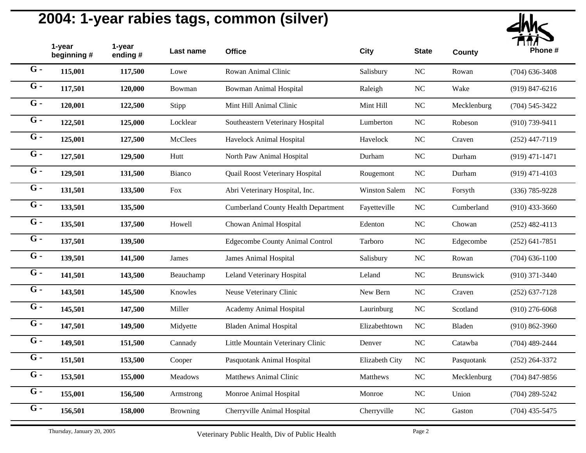

| 1-year<br>beginning # | 1-year<br>ending # | Last name       | <b>Office</b>                              | City           | <b>State</b>   | <b>County</b> | Phone #            |
|-----------------------|--------------------|-----------------|--------------------------------------------|----------------|----------------|---------------|--------------------|
| 115,001               | 117,500            | Lowe            | Rowan Animal Clinic                        | Salisbury      | $\rm NC$       | Rowan         | $(704)$ 636-3408   |
| 117,501               | 120,000            | Bowman          | <b>Bowman Animal Hospital</b>              | Raleigh        | N <sub>C</sub> | Wake          | $(919) 847 - 6216$ |
| 120,001               | 122,500            | Stipp           | Mint Hill Animal Clinic                    | Mint Hill      | NC             | Mecklenburg   | $(704) 545 - 3422$ |
| 122,501               | 125,000            | Locklear        | Southeastern Veterinary Hospital           | Lumberton      | $\rm NC$       | Robeson       | $(910)$ 739-9411   |
| 125,001               | 127,500            | <b>McClees</b>  | Havelock Animal Hospital                   | Havelock       | NC             | Craven        | $(252)$ 447-7119   |
| 127,501               | 129,500            | Hutt            | North Paw Animal Hospital                  | Durham         | NC             | Durham        | $(919)$ 471-1471   |
| 129,501               | 131,500            | Bianco          | Quail Roost Veterinary Hospital            | Rougemont      | $\rm NC$       | Durham        | $(919)$ 471-4103   |
| 131,501               | 133,500            | Fox             | Abri Veterinary Hospital, Inc.             | Winston Salem  | NC             | Forsyth       | $(336) 785 - 9228$ |
| 133,501               | 135,500            |                 | <b>Cumberland County Health Department</b> | Fayetteville   | $\rm NC$       | Cumberland    | $(910)$ 433-3660   |
| 135,501               | 137,500            | Howell          | Chowan Animal Hospital                     | Edenton        | $\rm NC$       | Chowan        | $(252)$ 482-4113   |
| 137,501               | 139,500            |                 | <b>Edgecombe County Animal Control</b>     | Tarboro        | NC             | Edgecombe     | $(252)$ 641-7851   |
| 139,501               | 141,500            | James           | James Animal Hospital                      | Salisbury      | NC             | Rowan         | $(704)$ 636-1100   |
| 141,501               | 143,500            | Beauchamp       | Leland Veterinary Hospital                 | Leland         | $\rm NC$       | Brunswick     | $(910)$ 371-3440   |
| 143,501               | 145,500            | Knowles         | Neuse Veterinary Clinic                    | New Bern       | NC             | Craven        | $(252)$ 637-7128   |
| 145,501               | 147,500            | Miller          | Academy Animal Hospital                    | Laurinburg     | $\rm NC$       | Scotland      | $(910)$ 276-6068   |
| 147,501               | 149,500            | Midyette        | <b>Bladen Animal Hospital</b>              | Elizabethtown  | NC             | Bladen        | $(910) 862 - 3960$ |
| 149,501               | 151,500            | Cannady         | Little Mountain Veterinary Clinic          | Denver         | $NC$           | Catawba       | $(704)$ 489-2444   |
| 151,501               | 153,500            | Cooper          | Pasquotank Animal Hospital                 | Elizabeth City | $\rm NC$       | Pasquotank    | $(252)$ 264-3372   |
| 153,501               | 155,000            | Meadows         | Matthews Animal Clinic                     | Matthews       | NC             | Mecklenburg   | $(704)$ 847-9856   |
| 155,001               | 156,500            | Armstrong       | Monroe Animal Hospital                     | Monroe         | $\rm NC$       | Union         | $(704)$ 289-5242   |
| 156,501               | 158,000            | <b>Browning</b> | Cherryville Animal Hospital                | Cherryville    | N <sub>C</sub> | Gaston        | $(704)$ 435-5475   |
|                       |                    |                 |                                            |                |                |               |                    |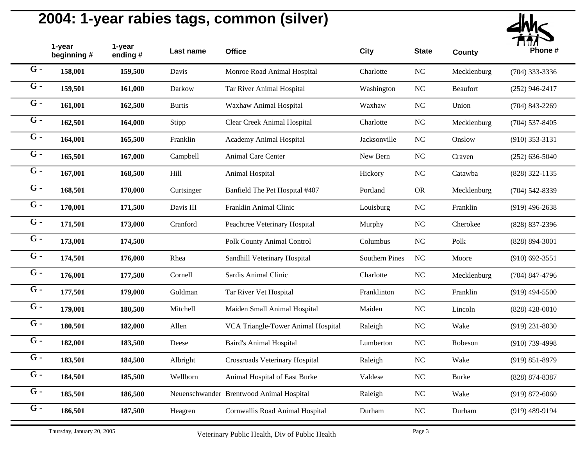

|                  | 1-year<br>beginning# | 1-year<br>ending # | Last name     | <b>Office</b>                            | <b>City</b>           | <b>State</b> | <b>County</b> | Phone #            |
|------------------|----------------------|--------------------|---------------|------------------------------------------|-----------------------|--------------|---------------|--------------------|
| $G -$            | 158,001              | 159,500            | Davis         | Monroe Road Animal Hospital              | Charlotte             | $\rm NC$     | Mecklenburg   | $(704)$ 333-3336   |
| $G -$            | 159,501              | 161,000            | Darkow        | Tar River Animal Hospital                | Washington            | $_{\rm NC}$  | Beaufort      | $(252)$ 946-2417   |
| $G -$            | 161,001              | 162,500            | <b>Burtis</b> | Waxhaw Animal Hospital                   | Waxhaw                | $_{\rm NC}$  | Union         | $(704)$ 843-2269   |
| $G -$            | 162,501              | 164,000            | Stipp         | Clear Creek Animal Hospital              | Charlotte             | NC           | Mecklenburg   | $(704)$ 537-8405   |
| $G -$            | 164,001              | 165,500            | Franklin      | Academy Animal Hospital                  | Jacksonville          | $_{\rm NC}$  | Onslow        | $(910)$ 353-3131   |
| $G -$            | 165,501              | 167,000            | Campbell      | <b>Animal Care Center</b>                | New Bern              | NC           | Craven        | $(252) 636 - 5040$ |
| $G -$            | 167,001              | 168,500            | Hill          | Animal Hospital                          | Hickory               | $_{\rm NC}$  | Catawba       | $(828)$ 322-1135   |
| $\overline{G}$ - | 168,501              | 170,000            | Curtsinger    | Banfield The Pet Hospital #407           | Portland              | <b>OR</b>    | Mecklenburg   | $(704)$ 542-8339   |
| $G -$            | 170,001              | 171,500            | Davis III     | Franklin Animal Clinic                   | Louisburg             | $\rm NC$     | Franklin      | $(919)$ 496-2638   |
| $G -$            | 171,501              | 173,000            | Cranford      | Peachtree Veterinary Hospital            | Murphy                | $\rm NC$     | Cherokee      | (828) 837-2396     |
| $G -$            | 173,001              | 174,500            |               | Polk County Animal Control               | Columbus              | $_{\rm NC}$  | Polk          | $(828) 894 - 3001$ |
| $G -$            | 174,501              | 176,000            | Rhea          | Sandhill Veterinary Hospital             | <b>Southern Pines</b> | NC           | Moore         | $(910)$ 692-3551   |
| $\overline{G}$ - | 176,001              | 177,500            | Cornell       | Sardis Animal Clinic                     | Charlotte             | $\rm NC$     | Mecklenburg   | $(704)$ 847-4796   |
| $G -$            | 177,501              | 179,000            | Goldman       | Tar River Vet Hospital                   | Franklinton           | $\rm NC$     | Franklin      | $(919)$ 494-5500   |
| $G -$            | 179,001              | 180,500            | Mitchell      | Maiden Small Animal Hospital             | Maiden                | $\rm NC$     | Lincoln       | $(828)$ 428-0010   |
| $G -$            | 180,501              | 182,000            | Allen         | VCA Triangle-Tower Animal Hospital       | Raleigh               | NC           | Wake          | $(919)$ 231-8030   |
| $G -$            | 182,001              | 183,500            | Deese         | <b>Baird's Animal Hospital</b>           | Lumberton             | $\rm NC$     | Robeson       | $(910)$ 739-4998   |
| $G -$            | 183,501              | 184,500            | Albright      | Crossroads Veterinary Hospital           | Raleigh               | <b>NC</b>    | Wake          | $(919) 851 - 8979$ |
| $\overline{G}$ - | 184,501              | 185,500            | Wellborn      | Animal Hospital of East Burke            | Valdese               | NC           | <b>Burke</b>  | $(828) 874 - 8387$ |
| $\overline{G}$ - | 185,501              | 186,500            |               | Neuenschwander Brentwood Animal Hospital | Raleigh               | NC           | Wake          | $(919) 872 - 6060$ |
| $G -$            | 186,501              | 187,500            | Heagren       | Cornwallis Road Animal Hospital          | Durham                | <b>NC</b>    | Durham        | $(919)$ 489-9194   |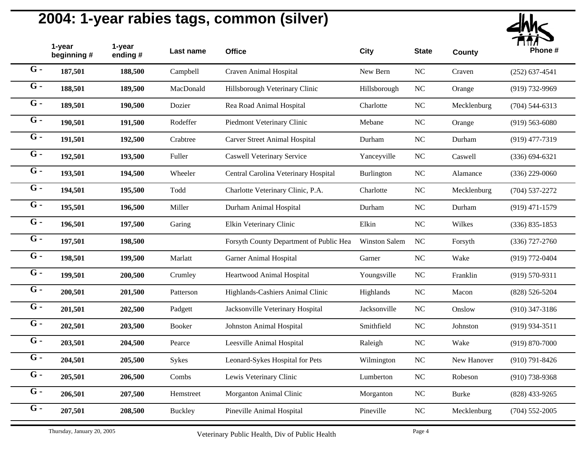

|                  | 1-year<br>beginning # | 1-year<br>ending # | Last name      | <b>Office</b>                           | City                 | <b>State</b>   | <b>County</b> | Phone #            |
|------------------|-----------------------|--------------------|----------------|-----------------------------------------|----------------------|----------------|---------------|--------------------|
| $G -$            | 187,501               | 188,500            | Campbell       | Craven Animal Hospital                  | New Bern             | $\rm NC$       | Craven        | $(252) 637 - 4541$ |
| $G -$            | 188,501               | 189,500            | MacDonald      | Hillsborough Veterinary Clinic          | Hillsborough         | N <sub>C</sub> | Orange        | (919) 732-9969     |
| $G -$            | 189,501               | 190,500            | Dozier         | Rea Road Animal Hospital                | Charlotte            | $\rm NC$       | Mecklenburg   | $(704) 544 - 6313$ |
| $G -$            | 190,501               | 191,500            | Rodeffer       | Piedmont Veterinary Clinic              | Mebane               | $\rm NC$       | Orange        | $(919) 563 - 6080$ |
| $G -$            | 191,501               | 192,500            | Crabtree       | <b>Carver Street Animal Hospital</b>    | Durham               | NC             | Durham        | $(919)$ 477-7319   |
| $G -$            | 192,501               | 193,500            | Fuller         | <b>Caswell Veterinary Service</b>       | Yanceyville          | $NC$           | Caswell       | $(336) 694 - 6321$ |
| $G -$            | 193,501               | 194,500            | Wheeler        | Central Carolina Veterinary Hospital    | Burlington           | $NC$           | Alamance      | $(336)$ 229-0060   |
| $G -$            | 194,501               | 195,500            | Todd           | Charlotte Veterinary Clinic, P.A.       | Charlotte            | NC             | Mecklenburg   | $(704)$ 537-2272   |
| $G -$            | 195,501               | 196,500            | Miller         | Durham Animal Hospital                  | Durham               | $NC$           | Durham        | $(919)$ 471-1579   |
| $G -$            | 196,501               | 197,500            | Garing         | Elkin Veterinary Clinic                 | Elkin                | $\rm NC$       | Wilkes        | $(336) 835 - 1853$ |
| $G -$            | 197,501               | 198,500            |                | Forsyth County Department of Public Hea | <b>Winston Salem</b> | NC             | Forsyth       | $(336)$ 727-2760   |
| $G -$            | 198,501               | 199,500            | Marlatt        | <b>Garner Animal Hospital</b>           | Garner               | $\rm NC$       | Wake          | $(919) 772 - 0404$ |
| $G -$            | 199,501               | 200,500            | Crumley        | Heartwood Animal Hospital               | Youngsville          | $\rm NC$       | Franklin      | $(919) 570 - 9311$ |
| $G -$            | 200,501               | 201,500            | Patterson      | Highlands-Cashiers Animal Clinic        | Highlands            | $\rm NC$       | Macon         | $(828) 526 - 5204$ |
| $G -$            | 201,501               | 202,500            | Padgett        | Jacksonville Veterinary Hospital        | Jacksonville         | $\rm NC$       | Onslow        | $(910)$ 347-3186   |
| $G -$            | 202,501               | 203,500            | Booker         | Johnston Animal Hospital                | Smithfield           | $\rm NC$       | Johnston      | $(919)$ 934-3511   |
| $G -$            | 203,501               | 204,500            | Pearce         | Leesville Animal Hospital               | Raleigh              | $NC$           | Wake          | $(919) 870 - 7000$ |
| $G -$            | 204,501               | 205,500            | Sykes          | Leonard-Sykes Hospital for Pets         | Wilmington           | $NC$           | New Hanover   | $(910) 791 - 8426$ |
| $G -$            | 205,501               | 206,500            | Combs          | Lewis Veterinary Clinic                 | Lumberton            | $\rm NC$       | Robeson       | $(910)$ 738-9368   |
| $\overline{G}$ - | 206,501               | 207,500            | Hemstreet      | Morganton Animal Clinic                 | Morganton            | $\rm NC$       | <b>Burke</b>  | $(828)$ 433-9265   |
| $G -$            | 207,501               | 208,500            | <b>Buckley</b> | Pineville Animal Hospital               | Pineville            | $\rm NC$       | Mecklenburg   | $(704)$ 552-2005   |
|                  |                       |                    |                |                                         |                      |                |               |                    |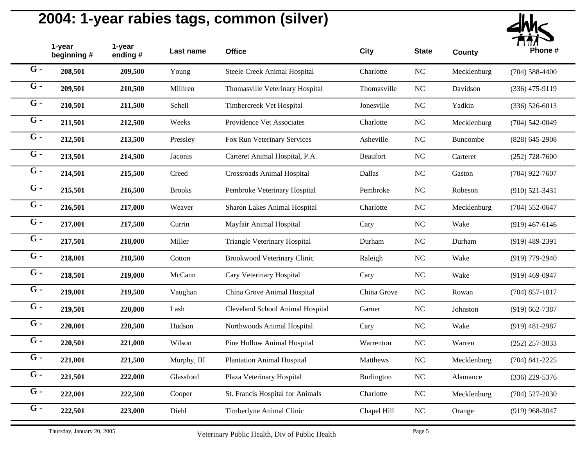

|       | 1-year<br>beginning# | 1-year<br>ending# | Last name     | <b>Office</b>                     | City            | <b>State</b> | <b>County</b> | Phone #            |
|-------|----------------------|-------------------|---------------|-----------------------------------|-----------------|--------------|---------------|--------------------|
| $G -$ | 208,501              | 209,500           | Young         | Steele Creek Animal Hospital      | Charlotte       | NC           | Mecklenburg   | $(704)$ 588-4400   |
| $G -$ | 209,501              | 210,500           | Milliren      | Thomasville Veterinary Hospital   | Thomasville     | $\rm NC$     | Davidson      | $(336)$ 475-9119   |
| $G -$ | 210,501              | 211,500           | Schell        | Timbercreek Vet Hospital          | Jonesville      | NC           | Yadkin        | $(336) 526 - 6013$ |
| $G -$ | 211,501              | 212,500           | Weeks         | Providence Vet Associates         | Charlotte       | $\rm NC$     | Mecklenburg   | $(704) 542 - 0049$ |
| $G -$ | 212,501              | 213,500           | Pressley      | Fox Run Veterinary Services       | Asheville       | $\rm NC$     | Buncombe      | $(828)$ 645-2908   |
| $G -$ | 213,501              | 214,500           | Jaconis       | Carteret Animal Hospital, P.A.    | <b>Beaufort</b> | NC           | Carteret      | $(252)$ 728-7600   |
| $G -$ | 214,501              | 215,500           | Creed         | <b>Crossroads Animal Hospital</b> | Dallas          | NC           | Gaston        | $(704)$ 922-7607   |
| $G -$ | 215,501              | 216,500           | <b>Brooks</b> | Pembroke Veterinary Hospital      | Pembroke        | $\rm NC$     | Robeson       | $(910)$ 521-3431   |
| $G -$ | 216,501              | 217,000           | Weaver        | Sharon Lakes Animal Hospital      | Charlotte       | $\rm NC$     | Mecklenburg   | $(704)$ 552-0647   |
| $G -$ | 217,001              | 217,500           | Currin        | Mayfair Animal Hospital           | Cary            | $\rm NC$     | Wake          | $(919)$ 467-6146   |
| $G -$ | 217,501              | 218,000           | Miller        | Triangle Veterinary Hospital      | Durham          | $\rm NC$     | Durham        | $(919)$ 489-2391   |
| $G -$ | 218,001              | 218,500           | Cotton        | Brookwood Veterinary Clinic       | Raleigh         | $\rm NC$     | Wake          | $(919)$ 779-2940   |
| $G -$ | 218,501              | 219,000           | McCann        | Cary Veterinary Hospital          | Cary            | $\rm NC$     | Wake          | $(919)$ 469-0947   |
| $G -$ | 219,001              | 219,500           | Vaughan       | China Grove Animal Hospital       | China Grove     | NC           | Rowan         | $(704)$ 857-1017   |
| $G -$ | 219,501              | 220,000           | Lash          | Cleveland School Animal Hospital  | Garner          | $\rm NC$     | Johnston      | $(919)$ 662-7387   |
| $G -$ | 220,001              | 220,500           | Hudson        | Northwoods Animal Hospital        | Cary            | $\rm NC$     | Wake          | $(919)$ 481-2987   |
| $G -$ | 220,501              | 221,000           | Wilson        | Pine Hollow Animal Hospital       | Warrenton       | $\rm NC$     | Warren        | $(252)$ 257-3833   |
| $G -$ | 221,001              | 221,500           | Murphy, III   | <b>Plantation Animal Hospital</b> | Matthews        | $\rm NC$     | Mecklenburg   | $(704)$ 841-2225   |
| $G -$ | 221,501              | 222,000           | Glassford     | Plaza Veterinary Hospital         | Burlington      | $\rm NC$     | Alamance      | $(336)$ 229-5376   |
| $G -$ | 222,001              | 222,500           | Cooper        | St. Francis Hospital for Animals  | Charlotte       | $\rm NC$     | Mecklenburg   | $(704)$ 527-2030   |
| $G -$ | 222,501              | 223,000           | Diehl         | Timberlyne Animal Clinic          | Chapel Hill     | $\rm NC$     | Orange        | $(919)$ 968-3047   |
|       |                      |                   |               |                                   |                 |              |               |                    |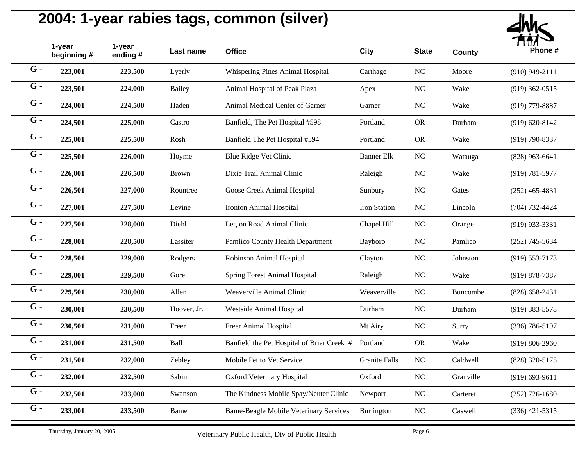

|       | 1-year<br>beginning # | 1-year<br>ending# | Last name     | <b>Office</b>                                 | <b>City</b>          | <b>State</b> | <b>County</b> | Phone #            |
|-------|-----------------------|-------------------|---------------|-----------------------------------------------|----------------------|--------------|---------------|--------------------|
| $G -$ | 223,001               | 223,500           | Lyerly        | Whispering Pines Animal Hospital              | Carthage             | $\rm NC$     | Moore         | $(910)$ 949-2111   |
| $G -$ | 223,501               | 224,000           | <b>Bailey</b> | Animal Hospital of Peak Plaza                 | Apex                 | NC           | Wake          | $(919)$ 362-0515   |
| $G -$ | 224,001               | 224,500           | Haden         | Animal Medical Center of Garner               | Garner               | NC           | Wake          | $(919)$ 779-8887   |
| $G -$ | 224,501               | 225,000           | Castro        | Banfield, The Pet Hospital #598               | Portland             | <b>OR</b>    | Durham        | $(919) 620 - 8142$ |
| $G -$ | 225,001               | 225,500           | Rosh          | Banfield The Pet Hospital #594                | Portland             | <b>OR</b>    | Wake          | $(919) 790 - 8337$ |
| $G -$ | 225,501               | 226,000           | Hoyme         | Blue Ridge Vet Clinic                         | <b>Banner Elk</b>    | $\rm NC$     | Watauga       | $(828)$ 963-6641   |
| $G -$ | 226,001               | 226,500           | <b>Brown</b>  | Dixie Trail Animal Clinic                     | Raleigh              | $\rm NC$     | Wake          | $(919) 781 - 5977$ |
| $G -$ | 226,501               | 227,000           | Rountree      | Goose Creek Animal Hospital                   | Sunbury              | NC           | Gates         | $(252)$ 465-4831   |
| $G -$ | 227,001               | 227,500           | Levine        | Ironton Animal Hospital                       | Iron Station         | $\rm NC$     | Lincoln       | $(704) 732 - 4424$ |
| $G -$ | 227,501               | 228,000           | Diehl         | Legion Road Animal Clinic                     | Chapel Hill          | $\rm NC$     | Orange        | $(919)$ 933-3331   |
| $G -$ | 228,001               | 228,500           | Lassiter      | Pamlico County Health Department              | Bayboro              | $\rm NC$     | Pamlico       | $(252)$ 745-5634   |
| $G -$ | 228,501               | 229,000           | Rodgers       | Robinson Animal Hospital                      | Clayton              | NC           | Johnston      | $(919) 553 - 7173$ |
| $G -$ | 229,001               | 229,500           | Gore          | Spring Forest Animal Hospital                 | Raleigh              | $\rm NC$     | Wake          | $(919) 878 - 7387$ |
| $G -$ | 229,501               | 230,000           | Allen         | Weaverville Animal Clinic                     | Weaverville          | $\rm NC$     | Buncombe      | $(828)$ 658-2431   |
| $G -$ | 230,001               | 230,500           | Hoover, Jr.   | Westside Animal Hospital                      | Durham               | $\rm NC$     | Durham        | $(919)$ 383-5578   |
| $G -$ | 230,501               | 231,000           | Freer         | Freer Animal Hospital                         | Mt Airy              | $\rm NC$     | Surry         | $(336) 786 - 5197$ |
| $G -$ | 231,001               | 231,500           | Ball          | Banfield the Pet Hospital of Brier Creek #    | Portland             | <b>OR</b>    | Wake          | $(919) 806 - 2960$ |
| $G -$ | 231,501               | 232,000           | Zebley        | Mobile Pet to Vet Service                     | <b>Granite Falls</b> | $\rm NC$     | Caldwell      | (828) 320-5175     |
| $G -$ | 232,001               | 232,500           | Sabin         | Oxford Veterinary Hospital                    | Oxford               | NC           | Granville     | $(919) 693 - 9611$ |
| $G -$ | 232,501               | 233,000           | Swanson       | The Kindness Mobile Spay/Neuter Clinic        | Newport              | $\rm NC$     | Carteret      | $(252)$ 726-1680   |
| $G -$ | 233,001               | 233,500           | Bame          | <b>Bame-Beagle Mobile Veterinary Services</b> | Burlington           | NC           | Caswell       | $(336)$ 421-5315   |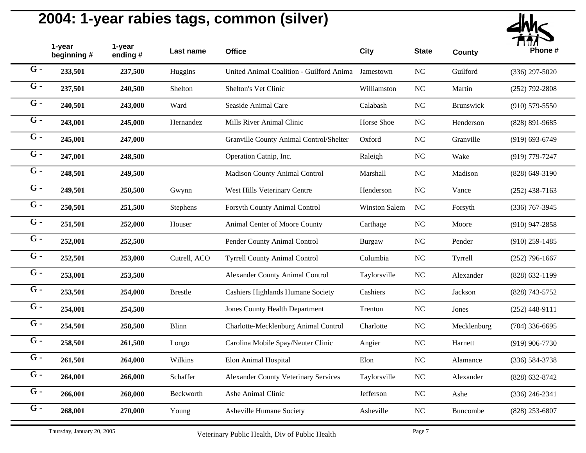

|       | 1-year<br>beginning # | 1-year<br>ending# | Last name      | <b>Office</b>                               | City          | <b>State</b> | <b>County</b>   | Phone #            |
|-------|-----------------------|-------------------|----------------|---------------------------------------------|---------------|--------------|-----------------|--------------------|
| $G -$ | 233,501               | 237,500           | Huggins        | United Animal Coalition - Guilford Anima    | Jamestown     | $\rm NC$     | Guilford        | $(336)$ 297-5020   |
| $G -$ | 237,501               | 240,500           | Shelton        | Shelton's Vet Clinic                        | Williamston   | NC           | Martin          | $(252)$ 792-2808   |
| $G -$ | 240,501               | 243,000           | Ward           | Seaside Animal Care                         | Calabash      | NC           | Brunswick       | $(910)$ 579-5550   |
| $G -$ | 243,001               | 245,000           | Hernandez      | Mills River Animal Clinic                   | Horse Shoe    | $\rm NC$     | Henderson       | $(828)$ 891-9685   |
| $G -$ | 245,001               | 247,000           |                | Granville County Animal Control/Shelter     | Oxford        | NC           | Granville       | $(919) 693 - 6749$ |
| $G -$ | 247,001               | 248,500           |                | Operation Catnip, Inc.                      | Raleigh       | NC           | Wake            | $(919)$ 779-7247   |
| $G -$ | 248,501               | 249,500           |                | <b>Madison County Animal Control</b>        | Marshall      | $\rm NC$     | Madison         | $(828) 649 - 3190$ |
| $G -$ | 249,501               | 250,500           | Gwynn          | West Hills Veterinary Centre                | Henderson     | $\rm NC$     | Vance           | $(252)$ 438-7163   |
| $G -$ | 250,501               | 251,500           | Stephens       | <b>Forsyth County Animal Control</b>        | Winston Salem | NC           | Forsyth         | $(336)$ 767-3945   |
| $G -$ | 251,501               | 252,000           | Houser         | Animal Center of Moore County               | Carthage      | $\rm NC$     | Moore           | $(910)$ 947-2858   |
| $G -$ | 252,001               | 252,500           |                | Pender County Animal Control                | <b>Burgaw</b> | NC           | Pender          | $(910)$ 259-1485   |
| $G -$ | 252,501               | 253,000           | Cutrell, ACO   | <b>Tyrrell County Animal Control</b>        | Columbia      | $\rm NC$     | Tyrrell         | $(252)$ 796-1667   |
| $G -$ | 253,001               | 253,500           |                | <b>Alexander County Animal Control</b>      | Taylorsville  | $\rm NC$     | Alexander       | $(828) 632 - 1199$ |
| $G -$ | 253,501               | 254,000           | <b>Brestle</b> | <b>Cashiers Highlands Humane Society</b>    | Cashiers      | NC           | Jackson         | (828) 743-5752     |
| $G -$ | 254,001               | 254,500           |                | <b>Jones County Health Department</b>       | Trenton       | $\rm NC$     | Jones           | $(252)$ 448-9111   |
| $G -$ | 254,501               | 258,500           | Blinn          | Charlotte-Mecklenburg Animal Control        | Charlotte     | $\rm NC$     | Mecklenburg     | $(704)$ 336-6695   |
| $G -$ | 258,501               | 261,500           | Longo          | Carolina Mobile Spay/Neuter Clinic          | Angier        | $\rm NC$     | Harnett         | $(919)$ 906-7730   |
| $G -$ | 261,501               | 264,000           | Wilkins        | Elon Animal Hospital                        | Elon          | $\rm NC$     | Alamance        | $(336) 584 - 3738$ |
| $G -$ | 264,001               | 266,000           | Schaffer       | <b>Alexander County Veterinary Services</b> | Taylorsville  | NC           | Alexander       | $(828) 632 - 8742$ |
| $G -$ | 266,001               | 268,000           | Beckworth      | Ashe Animal Clinic                          | Jefferson     | $\rm NC$     | Ashe            | $(336)$ 246-2341   |
| $G -$ | 268,001               | 270,000           | Young          | Asheville Humane Society                    | Asheville     | $\rm NC$     | <b>Buncombe</b> | $(828)$ 253-6807   |
|       |                       |                   |                |                                             |               |              |                 |                    |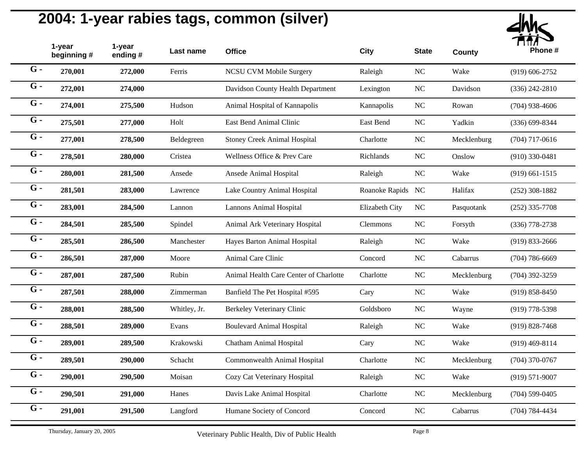

|       | 1-year<br>beginning # | 1-year<br>ending# | Last name    | <b>Office</b>                          | City              | <b>State</b> | <b>County</b> | Phone #            |
|-------|-----------------------|-------------------|--------------|----------------------------------------|-------------------|--------------|---------------|--------------------|
| $G -$ | 270,001               | 272,000           | Ferris       | <b>NCSU CVM Mobile Surgery</b>         | Raleigh           | $\rm NC$     | Wake          | $(919) 606 - 2752$ |
| $G -$ | 272,001               | 274,000           |              | Davidson County Health Department      | Lexington         | $\rm NC$     | Davidson      | $(336)$ 242-2810   |
| $G -$ | 274,001               | 275,500           | Hudson       | Animal Hospital of Kannapolis          | Kannapolis        | NC           | Rowan         | $(704)$ 938-4606   |
| $G -$ | 275,501               | 277,000           | Holt         | East Bend Animal Clinic                | East Bend         | $\rm NC$     | Yadkin        | $(336) 699 - 8344$ |
| $G -$ | 277,001               | 278,500           | Beldegreen   | <b>Stoney Creek Animal Hospital</b>    | Charlotte         | $\rm NC$     | Mecklenburg   | $(704)$ 717-0616   |
| $G -$ | 278,501               | 280,000           | Cristea      | Wellness Office & Prev Care            | Richlands         | NC           | Onslow        | $(910)$ 330-0481   |
| $G -$ | 280,001               | 281,500           | Ansede       | Ansede Animal Hospital                 | Raleigh           | $\rm NC$     | Wake          | $(919)$ 661-1515   |
| $G -$ | 281,501               | 283,000           | Lawrence     | Lake Country Animal Hospital           | Roanoke Rapids NC |              | Halifax       | $(252)$ 308-1882   |
| $G -$ | 283,001               | 284,500           | Lannon       | <b>Lannons Animal Hospital</b>         | Elizabeth City    | NC           | Pasquotank    | $(252)$ 335-7708   |
| $G -$ | 284,501               | 285,500           | Spindel      | Animal Ark Veterinary Hospital         | Clemmons          | $\rm NC$     | Forsyth       | (336) 778-2738     |
| $G -$ | 285,501               | 286,500           | Manchester   | Hayes Barton Animal Hospital           | Raleigh           | NC           | Wake          | $(919) 833 - 2666$ |
| $G -$ | 286,501               | 287,000           | Moore        | Animal Care Clinic                     | Concord           | $\rm NC$     | Cabarrus      | $(704)$ 786-6669   |
| $G -$ | 287,001               | 287,500           | Rubin        | Animal Health Care Center of Charlotte | Charlotte         | $\rm NC$     | Mecklenburg   | $(704)$ 392-3259   |
| $G -$ | 287,501               | 288,000           | Zimmerman    | Banfield The Pet Hospital #595         | Cary              | $\rm NC$     | Wake          | $(919) 858 - 8450$ |
| $G -$ | 288,001               | 288,500           | Whitley, Jr. | Berkeley Veterinary Clinic             | Goldsboro         | $\rm NC$     | Wayne         | $(919)$ 778-5398   |
| $G -$ | 288,501               | 289,000           | Evans        | <b>Boulevard Animal Hospital</b>       | Raleigh           | $\rm NC$     | Wake          | $(919) 828 - 7468$ |
| $G -$ | 289,001               | 289,500           | Krakowski    | Chatham Animal Hospital                | Cary              | $\rm NC$     | Wake          | $(919)$ 469-8114   |
| $G -$ | 289,501               | 290,000           | Schacht      | Commonwealth Animal Hospital           | Charlotte         | $\rm NC$     | Mecklenburg   | $(704)$ 370-0767   |
| $G -$ | 290,001               | 290,500           | Moisan       | Cozy Cat Veterinary Hospital           | Raleigh           | NC           | Wake          | $(919) 571 - 9007$ |
| $G -$ | 290,501               | 291,000           | Hanes        | Davis Lake Animal Hospital             | Charlotte         | $\rm NC$     | Mecklenburg   | $(704)$ 599-0405   |
| $G -$ | 291,001               | 291,500           | Langford     | Humane Society of Concord              | Concord           | NC           | Cabarrus      | $(704) 784 - 4434$ |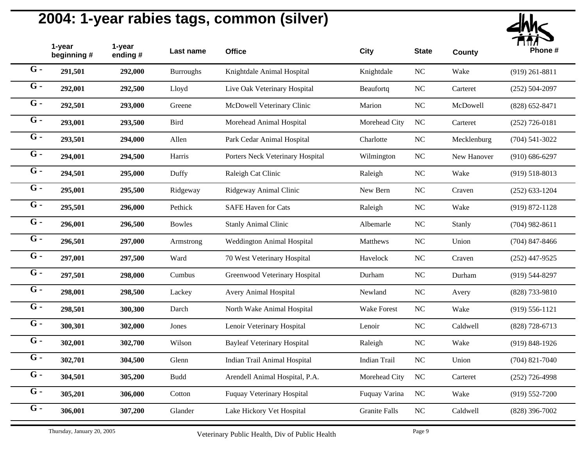

| 1-year<br>beginning# | 1-year<br>ending # | Last name        | <b>Office</b>                      | City                 | <b>State</b>   | <b>County</b> | Phone #            |
|----------------------|--------------------|------------------|------------------------------------|----------------------|----------------|---------------|--------------------|
| 291,501              | 292,000            | <b>Burroughs</b> | Knightdale Animal Hospital         | Knightdale           | NC             | Wake          | $(919)$ 261-8811   |
| 292,001              | 292,500            | Lloyd            | Live Oak Veterinary Hospital       | Beaufortq            | NC             | Carteret      | $(252) 504 - 2097$ |
| 292,501              | 293,000            | Greene           | McDowell Veterinary Clinic         | Marion               | $\rm NC$       | McDowell      | $(828) 652 - 8471$ |
| 293,001              | 293,500            | <b>Bird</b>      | Morehead Animal Hospital           | Morehead City        | <b>NC</b>      | Carteret      | $(252)$ 726-0181   |
| 293,501              | 294,000            | Allen            | Park Cedar Animal Hospital         | Charlotte            | NC             | Mecklenburg   | $(704) 541 - 3022$ |
| 294,001              | 294,500            | Harris           | Porters Neck Veterinary Hospital   | Wilmington           | NC             | New Hanover   | $(910) 686 - 6297$ |
| 294,501              | 295,000            | Duffy            | Raleigh Cat Clinic                 | Raleigh              | NC             | Wake          | $(919) 518 - 8013$ |
| 295,001              | 295,500            | Ridgeway         | Ridgeway Animal Clinic             | New Bern             | <b>NC</b>      | Craven        | $(252)$ 633-1204   |
| 295,501              | 296,000            | Pethick          | <b>SAFE Haven for Cats</b>         | Raleigh              | NC             | Wake          | $(919) 872 - 1128$ |
| 296,001              | 296,500            | Bowles           | <b>Stanly Animal Clinic</b>        | Albemarle            | NC             | Stanly        | $(704)$ 982-8611   |
| 296,501              | 297,000            | Armstrong        | <b>Weddington Animal Hospital</b>  | Matthews             | $\rm NC$       | Union         | $(704)$ 847-8466   |
| 297,001              | 297,500            | Ward             | 70 West Veterinary Hospital        | Havelock             | $\rm NC$       | Craven        | $(252)$ 447-9525   |
| 297,501              | 298,000            | Cumbus           | Greenwood Veterinary Hospital      | Durham               | NC             | Durham        | $(919) 544 - 8297$ |
| 298,001              | 298,500            | Lackey           | Avery Animal Hospital              | Newland              | NC             | Avery         | (828) 733-9810     |
| 298,501              | 300,300            | Darch            | North Wake Animal Hospital         | <b>Wake Forest</b>   | $\rm NC$       | Wake          | $(919) 556 - 1121$ |
| 300,301              | 302,000            | Jones            | Lenoir Veterinary Hospital         | Lenoir               | $\rm NC$       | Caldwell      | $(828)$ 728-6713   |
| 302,001              | 302,700            | Wilson           | <b>Bayleaf Veterinary Hospital</b> | Raleigh              | NC             | Wake          | $(919) 848 - 1926$ |
| 302,701              | 304,500            | Glenn            | Indian Trail Animal Hospital       | <b>Indian Trail</b>  | $\rm NC$       | Union         | $(704)$ 821-7040   |
| 304,501              | 305,200            | <b>Budd</b>      | Arendell Animal Hospital, P.A.     | Morehead City        | <b>NC</b>      | Carteret      | $(252)$ 726-4998   |
| 305,201              | 306,000            | Cotton           | Fuquay Veterinary Hospital         | Fuquay Varina        | <b>NC</b>      | Wake          | $(919) 552 - 7200$ |
| 306,001              | 307,200            | Glander          | Lake Hickory Vet Hospital          | <b>Granite Falls</b> | N <sub>C</sub> | Caldwell      | $(828)$ 396-7002   |
|                      |                    |                  |                                    |                      |                |               |                    |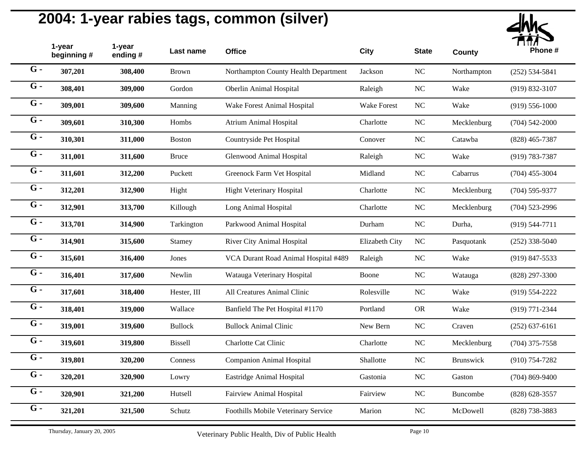

|       | 1-year<br>beginning # | 1-year<br>ending# | Last name      | <b>Office</b>                        | City               | <b>State</b> | <b>County</b>    | Phone #            |
|-------|-----------------------|-------------------|----------------|--------------------------------------|--------------------|--------------|------------------|--------------------|
| $G -$ | 307,201               | 308,400           | Brown          | Northampton County Health Department | Jackson            | $\rm NC$     | Northampton      | $(252) 534 - 5841$ |
| $G -$ | 308,401               | 309,000           | Gordon         | Oberlin Animal Hospital              | Raleigh            | $\rm NC$     | Wake             | $(919) 832 - 3107$ |
| $G -$ | 309,001               | 309,600           | Manning        | Wake Forest Animal Hospital          | <b>Wake Forest</b> | NC           | Wake             | $(919) 556 - 1000$ |
| $G -$ | 309,601               | 310,300           | Hombs          | <b>Atrium Animal Hospital</b>        | Charlotte          | $\rm NC$     | Mecklenburg      | $(704)$ 542-2000   |
| $G -$ | 310,301               | 311,000           | <b>Boston</b>  | Countryside Pet Hospital             | Conover            | $\rm NC$     | Catawba          | $(828)$ 465-7387   |
| $G -$ | 311,001               | 311,600           | <b>Bruce</b>   | Glenwood Animal Hospital             | Raleigh            | $\rm NC$     | Wake             | $(919) 783 - 7387$ |
| $G -$ | 311,601               | 312,200           | Puckett        | Greenock Farm Vet Hospital           | Midland            | $\rm NC$     | Cabarrus         | $(704)$ 455-3004   |
| $G -$ | 312,201               | 312,900           | Hight          | <b>Hight Veterinary Hospital</b>     | Charlotte          | NC           | Mecklenburg      | $(704)$ 595-9377   |
| $G -$ | 312,901               | 313,700           | Killough       | Long Animal Hospital                 | Charlotte          | $\rm NC$     | Mecklenburg      | $(704)$ 523-2996   |
| $G -$ | 313,701               | 314,900           | Tarkington     | Parkwood Animal Hospital             | Durham             | $\rm NC$     | Durha,           | $(919) 544 - 7711$ |
| $G -$ | 314,901               | 315,600           | Stamey         | River City Animal Hospital           | Elizabeth City     | NC           | Pasquotank       | $(252)$ 338-5040   |
| $G -$ | 315,601               | 316,400           | Jones          | VCA Durant Road Animal Hospital #489 | Raleigh            | NC           | Wake             | $(919)$ 847-5533   |
| $G -$ | 316,401               | 317,600           | Newlin         | Watauga Veterinary Hospital          | Boone              | $\rm NC$     | Watauga          | (828) 297-3300     |
| $G -$ | 317,601               | 318,400           | Hester, III    | All Creatures Animal Clinic          | Rolesville         | $\rm NC$     | Wake             | $(919) 554 - 2222$ |
| $G -$ | 318,401               | 319,000           | Wallace        | Banfield The Pet Hospital #1170      | Portland           | <b>OR</b>    | Wake             | (919) 771-2344     |
| $G -$ | 319,001               | 319,600           | <b>Bullock</b> | <b>Bullock Animal Clinic</b>         | New Bern           | $\rm NC$     | Craven           | $(252) 637 - 6161$ |
| $G -$ | 319,601               | 319,800           | <b>Bissell</b> | Charlotte Cat Clinic                 | Charlotte          | $\rm NC$     | Mecklenburg      | $(704)$ 375-7558   |
| $G -$ | 319,801               | 320,200           | Conness        | <b>Companion Animal Hospital</b>     | Shallotte          | $\rm NC$     | <b>Brunswick</b> | $(910)$ 754-7282   |
| $G -$ | 320,201               | 320,900           | Lowry          | Eastridge Animal Hospital            | Gastonia           | NC           | Gaston           | $(704) 869 - 9400$ |
| $G -$ | 320,901               | 321,200           | Hutsell        | Fairview Animal Hospital             | Fairview           | $\rm NC$     | <b>Buncombe</b>  | $(828) 628 - 3557$ |
| $G -$ | 321,201               | 321,500           | Schutz         | Foothills Mobile Veterinary Service  | Marion             | $\rm NC$     | McDowell         | $(828)$ 738-3883   |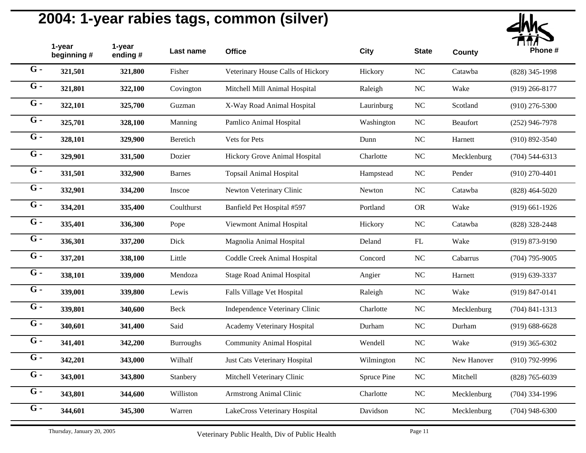

|       | 1-year<br>beginning # | 1-year<br>ending# | Last name        | <b>Office</b>                     | City        | <b>State</b> | <b>County</b> | Phone #            |
|-------|-----------------------|-------------------|------------------|-----------------------------------|-------------|--------------|---------------|--------------------|
| $G -$ | 321,501               | 321,800           | Fisher           | Veterinary House Calls of Hickory | Hickory     | $\rm NC$     | Catawba       | (828) 345-1998     |
| $G -$ | 321,801               | 322,100           | Covington        | Mitchell Mill Animal Hospital     | Raleigh     | $\rm NC$     | Wake          | $(919)$ 266-8177   |
| $G -$ | 322,101               | 325,700           | Guzman           | X-Way Road Animal Hospital        | Laurinburg  | $\rm NC$     | Scotland      | $(910)$ 276-5300   |
| $G -$ | 325,701               | 328,100           | Manning          | Pamlico Animal Hospital           | Washington  | $\rm NC$     | Beaufort      | $(252)$ 946-7978   |
| $G -$ | 328,101               | 329,900           | Beretich         | Vets for Pets                     | Dunn        | $\rm NC$     | Harnett       | $(910) 892 - 3540$ |
| $G -$ | 329,901               | 331,500           | Dozier           | Hickory Grove Animal Hospital     | Charlotte   | $\rm NC$     | Mecklenburg   | $(704) 544 - 6313$ |
| $G -$ | 331,501               | 332,900           | <b>Barnes</b>    | Topsail Animal Hospital           | Hampstead   | NC           | Pender        | $(910)$ 270-4401   |
| $G -$ | 332,901               | 334,200           | Inscoe           | Newton Veterinary Clinic          | Newton      | $\rm NC$     | Catawba       | $(828)$ 464-5020   |
| $G -$ | 334,201               | 335,400           | Coulthurst       | Banfield Pet Hospital #597        | Portland    | <b>OR</b>    | Wake          | $(919)$ 661-1926   |
| $G -$ | 335,401               | 336,300           | Pope             | Viewmont Animal Hospital          | Hickory     | $\rm NC$     | Catawba       | (828) 328-2448     |
| $G -$ | 336,301               | 337,200           | Dick             | Magnolia Animal Hospital          | Deland      | FL           | Wake          | $(919) 873 - 9190$ |
| $G -$ | 337,201               | 338,100           | Little           | Coddle Creek Animal Hospital      | Concord     | $\rm NC$     | Cabarrus      | $(704)$ 795-9005   |
| $G -$ | 338,101               | 339,000           | Mendoza          | <b>Stage Road Animal Hospital</b> | Angier      | $\rm NC$     | Harnett       | $(919) 639 - 3337$ |
| $G -$ | 339,001               | 339,800           | Lewis            | Falls Village Vet Hospital        | Raleigh     | NC           | Wake          | $(919) 847 - 0141$ |
| $G -$ | 339,801               | 340,600           | Beck             | Independence Veterinary Clinic    | Charlotte   | $\rm NC$     | Mecklenburg   | $(704)$ 841-1313   |
| $G -$ | 340,601               | 341,400           | Said             | Academy Veterinary Hospital       | Durham      | $\rm NC$     | Durham        | $(919) 688 - 6628$ |
| $G -$ | 341,401               | 342,200           | <b>Burroughs</b> | <b>Community Animal Hospital</b>  | Wendell     | $\rm NC$     | Wake          | $(919)$ 365-6302   |
| $G -$ | 342,201               | 343,000           | Wilhalf          | Just Cats Veterinary Hospital     | Wilmington  | $\rm NC$     | New Hanover   | $(910)$ 792-9996   |
| $G -$ | 343,001               | 343,800           | Stanbery         | Mitchell Veterinary Clinic        | Spruce Pine | $\rm NC$     | Mitchell      | $(828)$ 765-6039   |
| $G -$ | 343,801               | 344,600           | Williston        | Armstrong Animal Clinic           | Charlotte   | $\rm NC$     | Mecklenburg   | $(704)$ 334-1996   |
| $G -$ | 344,601               | 345,300           | Warren           | LakeCross Veterinary Hospital     | Davidson    | $\rm NC$     | Mecklenburg   | $(704)$ 948-6300   |
|       |                       |                   |                  |                                   |             |              |               |                    |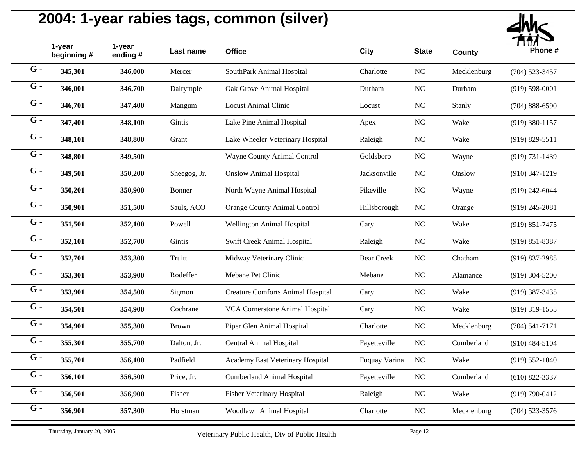

|                  | 1-year<br>beginning# | 1-year<br>ending # | Last name    | <b>Office</b>                            | City              | <b>State</b> | <b>County</b> | Phone #            |
|------------------|----------------------|--------------------|--------------|------------------------------------------|-------------------|--------------|---------------|--------------------|
| $G -$            | 345,301              | 346,000            | Mercer       | SouthPark Animal Hospital                | Charlotte         | NC           | Mecklenburg   | $(704)$ 523-3457   |
| $G -$            | 346,001              | 346,700            | Dalrymple    | Oak Grove Animal Hospital                | Durham            | NC           | Durham        | $(919) 598 - 0001$ |
| $G -$            | 346,701              | 347,400            | Mangum       | <b>Locust Animal Clinic</b>              | Locust            | $\rm NC$     | Stanly        | $(704) 888 - 6590$ |
| $G -$            | 347,401              | 348,100            | Gintis       | Lake Pine Animal Hospital                | Apex              | NC           | Wake          | $(919)$ 380-1157   |
| $G -$            | 348,101              | 348,800            | Grant        | Lake Wheeler Veterinary Hospital         | Raleigh           | <b>NC</b>    | Wake          | $(919) 829 - 5511$ |
| $G -$            | 348,801              | 349,500            |              | Wayne County Animal Control              | Goldsboro         | NC           | Wayne         | $(919) 731 - 1439$ |
| $G -$            | 349,501              | 350,200            | Sheegog, Jr. | <b>Onslow Animal Hospital</b>            | Jacksonville      | NC           | Onslow        | $(910)$ 347-1219   |
| $G -$            | 350,201              | 350,900            | Bonner       | North Wayne Animal Hospital              | Pikeville         | <b>NC</b>    | Wayne         | $(919)$ 242-6044   |
| $G -$            | 350,901              | 351,500            | Sauls, ACO   | <b>Orange County Animal Control</b>      | Hillsborough      | NC           | Orange        | $(919)$ 245-2081   |
| $G -$            | 351,501              | 352,100            | Powell       | Wellington Animal Hospital               | Cary              | $\rm NC$     | Wake          | $(919) 851 - 7475$ |
| $G -$            | 352,101              | 352,700            | Gintis       | Swift Creek Animal Hospital              | Raleigh           | NC           | Wake          | $(919) 851 - 8387$ |
| $G -$            | 352,701              | 353,300            | Truitt       | Midway Veterinary Clinic                 | <b>Bear Creek</b> | NC           | Chatham       | $(919)$ 837-2985   |
| $G -$            | 353,301              | 353,900            | Rodeffer     | Mebane Pet Clinic                        | Mebane            | $\rm NC$     | Alamance      | $(919)$ 304-5200   |
| $G -$            | 353,901              | 354,500            | Sigmon       | <b>Creature Comforts Animal Hospital</b> | Cary              | NC           | Wake          | $(919)$ 387-3435   |
| $G -$            | 354,501              | 354,900            | Cochrane     | VCA Cornerstone Animal Hospital          | Cary              | NC           | Wake          | $(919)$ 319-1555   |
| $G -$            | 354,901              | 355,300            | <b>Brown</b> | Piper Glen Animal Hospital               | Charlotte         | NC           | Mecklenburg   | $(704) 541 - 7171$ |
| $G -$            | 355,301              | 355,700            | Dalton, Jr.  | <b>Central Animal Hospital</b>           | Fayetteville      | NC           | Cumberland    | $(910)$ 484-5104   |
| $G -$            | 355,701              | 356,100            | Padfield     | Academy East Veterinary Hospital         | Fuquay Varina     | <b>NC</b>    | Wake          | $(919) 552 - 1040$ |
| $G -$            | 356,101              | 356,500            | Price, Jr.   | <b>Cumberland Animal Hospital</b>        | Fayetteville      | $\rm NC$     | Cumberland    | $(610)$ 822-3337   |
| $\overline{G}$ . | 356,501              | 356,900            | Fisher       | Fisher Veterinary Hospital               | Raleigh           | $\rm NC$     | Wake          | $(919) 790 - 0412$ |
| $G -$            | 356,901              | 357,300            | Horstman     | Woodlawn Animal Hospital                 | Charlotte         | $\rm NC$     | Mecklenburg   | $(704)$ 523-3576   |
|                  |                      |                    |              |                                          |                   |              |               |                    |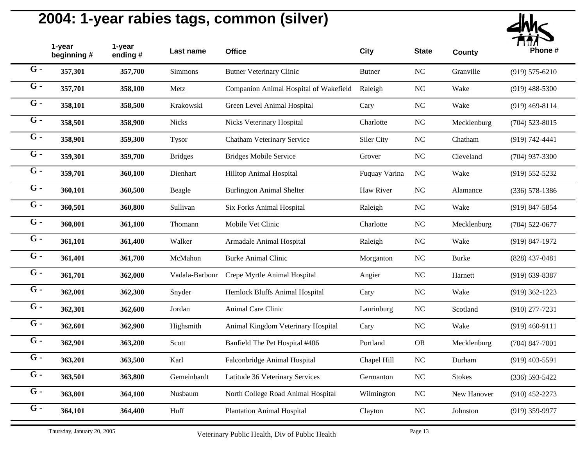

|                  | 1-year<br>beginning# | 1-year<br>ending # | Last name      | <b>Office</b>                          | <b>City</b>   | <b>State</b> | <b>County</b> | Phone #            |
|------------------|----------------------|--------------------|----------------|----------------------------------------|---------------|--------------|---------------|--------------------|
| $G -$            | 357,301              | 357,700            | Simmons        | <b>Butner Veterinary Clinic</b>        | <b>Butner</b> | <b>NC</b>    | Granville     | $(919) 575 - 6210$ |
| $G -$            | 357,701              | 358,100            | Metz           | Companion Animal Hospital of Wakefield | Raleigh       | NC           | Wake          | $(919)$ 488-5300   |
| $G -$            | 358,101              | 358,500            | Krakowski      | Green Level Animal Hospital            | Cary          | $_{\rm NC}$  | Wake          | $(919)$ 469-8114   |
| $G -$            | 358,501              | 358,900            | <b>Nicks</b>   | Nicks Veterinary Hospital              | Charlotte     | <b>NC</b>    | Mecklenburg   | $(704)$ 523-8015   |
| $G -$            | 358,901              | 359,300            | <b>Tysor</b>   | Chatham Veterinary Service             | Siler City    | <b>NC</b>    | Chatham       | $(919) 742 - 4441$ |
| $G -$            | 359,301              | 359,700            | <b>Bridges</b> | <b>Bridges Mobile Service</b>          | Grover        | NC           | Cleveland     | $(704)$ 937-3300   |
| $G -$            | 359,701              | 360,100            | Dienhart       | Hilltop Animal Hospital                | Fuquay Varina | NC           | Wake          | $(919) 552 - 5232$ |
| $\overline{G}$ - | 360,101              | 360,500            | Beagle         | <b>Burlington Animal Shelter</b>       | Haw River     | <b>NC</b>    | Alamance      | $(336) 578 - 1386$ |
| $G -$            | 360,501              | 360,800            | Sullivan       | Six Forks Animal Hospital              | Raleigh       | <b>NC</b>    | Wake          | $(919)$ 847-5854   |
| $G -$            | 360,801              | 361,100            | Thomann        | Mobile Vet Clinic                      | Charlotte     | NC           | Mecklenburg   | $(704)$ 522-0677   |
| $G -$            | 361,101              | 361,400            | Walker         | Armadale Animal Hospital               | Raleigh       | $_{\rm NC}$  | Wake          | (919) 847-1972     |
| $G -$            | 361,401              | 361,700            | McMahon        | <b>Burke Animal Clinic</b>             | Morganton     | <b>NC</b>    | <b>Burke</b>  | $(828)$ 437-0481   |
| $\overline{G}$ - | 361,701              | 362,000            | Vadala-Barbour | Crepe Myrtle Animal Hospital           | Angier        | <b>NC</b>    | Harnett       | $(919)$ 639-8387   |
| $G -$            | 362,001              | 362,300            | Snyder         | Hemlock Bluffs Animal Hospital         | Cary          | NC           | Wake          | $(919)$ 362-1223   |
| $G -$            | 362,301              | 362,600            | Jordan         | Animal Care Clinic                     | Laurinburg    | <b>NC</b>    | Scotland      | $(910)$ 277-7231   |
| $G -$            | 362,601              | 362,900            | Highsmith      | Animal Kingdom Veterinary Hospital     | Cary          | NC           | Wake          | $(919)$ 460-9111   |
| $G -$            | 362,901              | 363,200            | Scott          | Banfield The Pet Hospital #406         | Portland      | ${\sf OR}$   | Mecklenburg   | $(704)$ 847-7001   |
| $G -$            | 363,201              | 363,500            | Karl           | Falconbridge Animal Hospital           | Chapel Hill   | NC           | Durham        | $(919)$ 403-5591   |
| $\overline{G}$ - | 363,501              | 363,800            | Gemeinhardt    | Latitude 36 Veterinary Services        | Germanton     | $\rm NC$     | <b>Stokes</b> | $(336) 593 - 5422$ |
| $\overline{G}$ - | 363,801              | 364,100            | Nusbaum        | North College Road Animal Hospital     | Wilmington    | NC           | New Hanover   | $(910)$ 452-2273   |
| $G -$            | 364,101              | 364,400            | Huff           | <b>Plantation Animal Hospital</b>      | Clayton       | <b>NC</b>    | Johnston      | $(919)$ 359-9977   |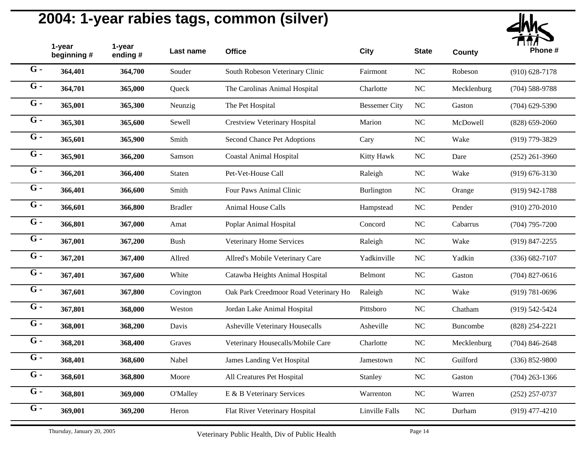

|                  | 1-year<br>beginning# | 1-year<br>ending # | Last name      | <b>Office</b>                         | City                 | <b>State</b> | <b>County</b> | Phone #            |
|------------------|----------------------|--------------------|----------------|---------------------------------------|----------------------|--------------|---------------|--------------------|
| $G -$            | 364,401              | 364,700            | Souder         | South Robeson Veterinary Clinic       | Fairmont             | $NC$         | Robeson       | $(910)$ 628-7178   |
| $G -$            | 364,701              | 365,000            | Queck          | The Carolinas Animal Hospital         | Charlotte            | $_{\rm NC}$  | Mecklenburg   | $(704)$ 588-9788   |
| $G -$            | 365,001              | 365,300            | Neunzig        | The Pet Hospital                      | <b>Bessemer City</b> | NC           | Gaston        | $(704)$ 629-5390   |
| $G -$            | 365,301              | 365,600            | Sewell         | <b>Crestview Veterinary Hospital</b>  | Marion               | $\rm NC$     | McDowell      | $(828)$ 659-2060   |
| $G -$            | 365,601              | 365,900            | Smith          | Second Chance Pet Adoptions           | Cary                 | $\rm NC$     | Wake          | (919) 779-3829     |
| $G -$            | 365,901              | 366,200            | Samson         | <b>Coastal Animal Hospital</b>        | Kitty Hawk           | NC           | Dare          | $(252)$ 261-3960   |
| $G -$            | 366,201              | 366,400            | Staten         | Pet-Vet-House Call                    | Raleigh              | $NC$         | Wake          | $(919) 676 - 3130$ |
| $G -$            | 366,401              | 366,600            | Smith          | Four Paws Animal Clinic               | Burlington           | NC           | Orange        | $(919)$ 942-1788   |
| $G -$            | 366,601              | 366,800            | <b>Bradler</b> | <b>Animal House Calls</b>             | Hampstead            | $NC$         | Pender        | $(910)$ 270-2010   |
| $G -$            | 366,801              | 367,000            | Amat           | Poplar Animal Hospital                | Concord              | $_{\rm NC}$  | Cabarrus      | $(704)$ 795-7200   |
| $\overline{G}$ . | 367,001              | 367,200            | <b>Bush</b>    | Veterinary Home Services              | Raleigh              | $\rm NC$     | Wake          | $(919)$ 847-2255   |
| $G -$            | 367,201              | 367,400            | Allred         | Allred's Mobile Veterinary Care       | Yadkinville          | $\rm NC$     | Yadkin        | $(336) 682 - 7107$ |
| $G -$            | 367,401              | 367,600            | White          | Catawba Heights Animal Hospital       | Belmont              | $_{\rm NC}$  | Gaston        | $(704)$ 827-0616   |
| $G -$            | 367,601              | 367,800            | Covington      | Oak Park Creedmoor Road Veterinary Ho | Raleigh              | $NC$         | Wake          | $(919) 781 - 0696$ |
| $G -$            | 367,801              | 368,000            | Weston         | Jordan Lake Animal Hospital           | Pittsboro            | $\rm NC$     | Chatham       | $(919) 542 - 5424$ |
| $G -$            | 368,001              | 368,200            | Davis          | Asheville Veterinary Housecalls       | Asheville            | $\rm NC$     | Buncombe      | $(828)$ 254-2221   |
| $G -$            | 368,201              | 368,400            | Graves         | Veterinary Housecalls/Mobile Care     | Charlotte            | $\rm NC$     | Mecklenburg   | $(704)$ 846-2648   |
| $G -$            | 368,401              | 368,600            | Nabel          | James Landing Vet Hospital            | Jamestown            | $\rm NC$     | Guilford      | $(336) 852 - 9800$ |
| $G -$            | 368,601              | 368,800            | Moore          | All Creatures Pet Hospital            | Stanley              | $\rm NC$     | Gaston        | $(704)$ 263-1366   |
| $G -$            | 368,801              | 369,000            | O'Malley       | E & B Veterinary Services             | Warrenton            | $NC$         | Warren        | $(252)$ 257-0737   |
| $G -$            | 369,001              | 369,200            | Heron          | Flat River Veterinary Hospital        | Linville Falls       | NC           | Durham        | $(919)$ 477-4210   |
|                  |                      |                    |                |                                       |                      |              |               |                    |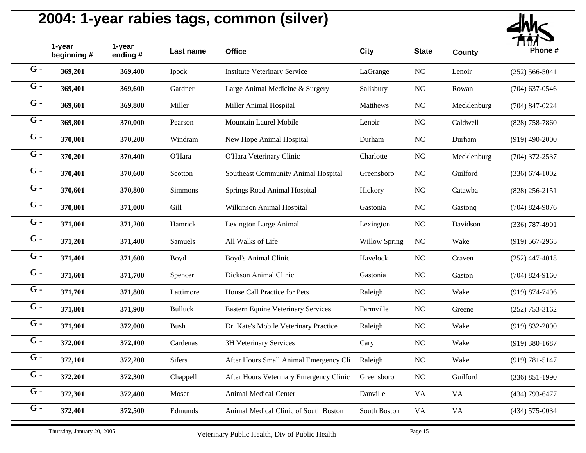

|                  | 1-year<br>beginning# | 1-year<br>ending # | Last name      | <b>Office</b>                             | <b>City</b>          | <b>State</b> | <b>County</b> | Phone #            |
|------------------|----------------------|--------------------|----------------|-------------------------------------------|----------------------|--------------|---------------|--------------------|
| $G -$            | 369,201              | 369,400            | Ipock          | <b>Institute Veterinary Service</b>       | LaGrange             | $\rm NC$     | Lenoir        | $(252) 566 - 5041$ |
| $G -$            | 369,401              | 369,600            | Gardner        | Large Animal Medicine & Surgery           | Salisbury            | NC           | Rowan         | $(704)$ 637-0546   |
| $G -$            | 369,601              | 369,800            | Miller         | Miller Animal Hospital                    | Matthews             | $_{\rm NC}$  | Mecklenburg   | $(704)$ 847-0224   |
| $G -$            | 369,801              | 370,000            | Pearson        | Mountain Laurel Mobile                    | Lenoir               | $_{\rm NC}$  | Caldwell      | $(828)$ 758-7860   |
| $G -$            | 370,001              | 370,200            | Windram        | New Hope Animal Hospital                  | Durham               | NC           | Durham        | $(919)$ 490-2000   |
| $G -$            | 370,201              | 370,400            | O'Hara         | O'Hara Veterinary Clinic                  | Charlotte            | NC           | Mecklenburg   | $(704)$ 372-2537   |
| $\overline{G}$ . | 370,401              | 370,600            | Scotton        | Southeast Community Animal Hospital       | Greensboro           | $\rm NC$     | Guilford      | $(336) 674 - 1002$ |
| $G -$            | 370,601              | 370,800            | <b>Simmons</b> | Springs Road Animal Hospital              | Hickory              | $\rm NC$     | Catawba       | $(828)$ 256-2151   |
| $G -$            | 370,801              | 371,000            | Gill           | Wilkinson Animal Hospital                 | Gastonia             | $\rm NC$     | Gastonq       | $(704)$ 824-9876   |
| $G -$            | 371,001              | 371,200            | Hamrick        | Lexington Large Animal                    | Lexington            | $_{\rm NC}$  | Davidson      | $(336)$ 787-4901   |
| $G -$            | 371,201              | 371,400            | Samuels        | All Walks of Life                         | <b>Willow Spring</b> | $\rm NC$     | Wake          | $(919) 567 - 2965$ |
| $\overline{G}$ - | 371,401              | 371,600            | Boyd           | Boyd's Animal Clinic                      | Havelock             | NC           | Craven        | $(252)$ 447-4018   |
| $G -$            | 371,601              | 371,700            | Spencer        | Dickson Animal Clinic                     | Gastonia             | $_{\rm NC}$  | Gaston        | $(704)$ 824-9160   |
| $G -$            | 371,701              | 371,800            | Lattimore      | House Call Practice for Pets              | Raleigh              | NC           | Wake          | $(919) 874 - 7406$ |
| $G -$            | 371,801              | 371,900            | <b>Bulluck</b> | <b>Eastern Equine Veterinary Services</b> | Farmville            | $_{\rm NC}$  | Greene        | $(252)$ 753-3162   |
| $G -$            | 371,901              | 372,000            | Bush           | Dr. Kate's Mobile Veterinary Practice     | Raleigh              | NC           | Wake          | $(919) 832 - 2000$ |
| $G -$            | 372,001              | 372,100            | Cardenas       | 3H Veterinary Services                    | Cary                 | NC           | Wake          | $(919)$ 380-1687   |
| $G -$            | 372,101              | 372,200            | <b>Sifers</b>  | After Hours Small Animal Emergency Cli    | Raleigh              | NC           | Wake          | $(919) 781 - 5147$ |
| $\overline{G}$ - | 372,201              | 372,300            | Chappell       | After Hours Veterinary Emergency Clinic   | Greensboro           | NC           | Guilford      | $(336) 851 - 1990$ |
| $\overline{G}$ - | 372,301              | 372,400            | Moser          | <b>Animal Medical Center</b>              | Danville             | <b>VA</b>    | <b>VA</b>     | $(434)$ 793-6477   |
| $G -$            | 372,401              | 372,500            | Edmunds        | Animal Medical Clinic of South Boston     | South Boston         | <b>VA</b>    | <b>VA</b>     | $(434) 575 - 0034$ |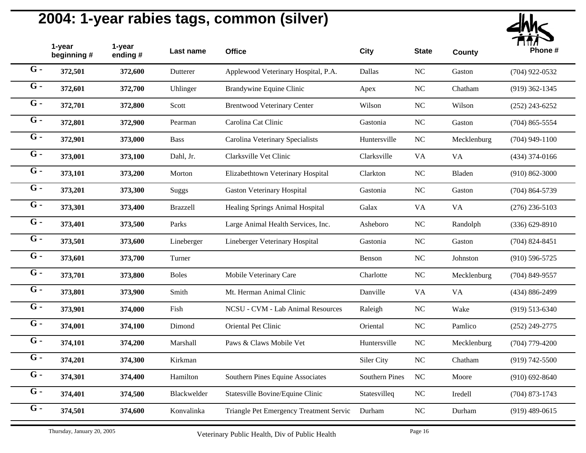

|                  | 1-year<br>beginning# | 1-year<br>ending # | Last name    | <b>Office</b>                           | <b>City</b>           | <b>State</b> | <b>County</b> | Phone #            |
|------------------|----------------------|--------------------|--------------|-----------------------------------------|-----------------------|--------------|---------------|--------------------|
| $G -$            | 372,501              | 372,600            | Dutterer     | Applewood Veterinary Hospital, P.A.     | Dallas                | $\rm NC$     | Gaston        | $(704)$ 922-0532   |
| $G -$            | 372,601              | 372,700            | Uhlinger     | Brandywine Equine Clinic                | Apex                  | <b>NC</b>    | Chatham       | $(919)$ 362-1345   |
| $G -$            | 372,701              | 372,800            | Scott        | <b>Brentwood Veterinary Center</b>      | Wilson                | NC           | Wilson        | $(252)$ 243-6252   |
| $G -$            | 372,801              | 372,900            | Pearman      | Carolina Cat Clinic                     | Gastonia              | $\rm NC$     | Gaston        | $(704)$ 865-5554   |
| $G -$            | 372,901              | 373,000            | <b>Bass</b>  | Carolina Veterinary Specialists         | Huntersville          | $_{\rm NC}$  | Mecklenburg   | $(704)$ 949-1100   |
| $G -$            | 373,001              | 373,100            | Dahl, Jr.    | Clarksville Vet Clinic                  | Clarksville           | <b>VA</b>    | <b>VA</b>     | $(434)$ 374-0166   |
| $G -$            | 373,101              | 373,200            | Morton       | Elizabethtown Veterinary Hospital       | Clarkton              | $_{\rm NC}$  | Bladen        | $(910) 862 - 3000$ |
| $\overline{G}$ - | 373,201              | 373,300            | Suggs        | <b>Gaston Veterinary Hospital</b>       | Gastonia              | NC           | Gaston        | $(704) 864 - 5739$ |
| $G -$            | 373,301              | 373,400            | Brazzell     | Healing Springs Animal Hospital         | Galax                 | <b>VA</b>    | <b>VA</b>     | $(276)$ 236-5103   |
| $G -$            | 373,401              | 373,500            | Parks        | Large Animal Health Services, Inc.      | Asheboro              | $_{\rm NC}$  | Randolph      | $(336) 629 - 8910$ |
| $G -$            | 373,501              | 373,600            | Lineberger   | Lineberger Veterinary Hospital          | Gastonia              | $_{\rm NC}$  | Gaston        | $(704)$ 824-8451   |
| $\overline{G}$ - | 373,601              | 373,700            | Turner       |                                         | Benson                | NC           | Johnston      | $(910)$ 596-5725   |
| $G -$            | 373,701              | 373,800            | <b>Boles</b> | Mobile Veterinary Care                  | Charlotte             | $\rm NC$     | Mecklenburg   | $(704)$ 849-9557   |
| $G -$            | 373,801              | 373,900            | Smith        | Mt. Herman Animal Clinic                | Danville              | <b>VA</b>    | <b>VA</b>     | $(434) 886 - 2499$ |
| $G -$            | 373,901              | 374,000            | Fish         | NCSU - CVM - Lab Animal Resources       | Raleigh               | <b>NC</b>    | Wake          | $(919)$ 513-6340   |
| $G -$            | 374,001              | 374,100            | Dimond       | Oriental Pet Clinic                     | Oriental              | $\rm NC$     | Pamlico       | $(252)$ 249-2775   |
| $G -$            | 374,101              | 374,200            | Marshall     | Paws & Claws Mobile Vet                 | Huntersville          | $\rm NC$     | Mecklenburg   | $(704)$ 779-4200   |
| $G -$            | 374,201              | 374,300            | Kirkman      |                                         | Siler City            | $\rm NC$     | Chatham       | $(919) 742 - 5500$ |
| $G -$            | 374,301              | 374,400            | Hamilton     | Southern Pines Equine Associates        | <b>Southern Pines</b> | $_{\rm NC}$  | Moore         | $(910)$ 692-8640   |
| $G -$            | 374,401              | 374,500            | Blackwelder  | Statesville Bovine/Equine Clinic        | Statesvilleq          | $_{\rm NC}$  | Iredell       | $(704)$ 873-1743   |
| $G -$            | 374,501              | 374,600            | Konvalinka   | Triangle Pet Emergency Treatment Servic | Durham                | NC           | Durham        | $(919)$ 489-0615   |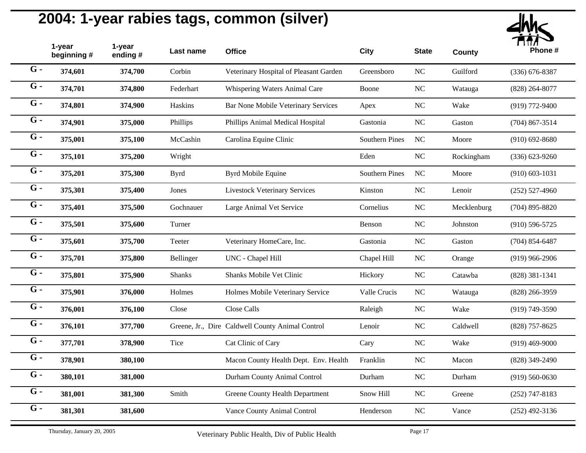

|       | 1-year<br>beginning # | 1-year<br>ending # | Last name     | <b>Office</b>                                    | City                  | <b>State</b> | <b>County</b> | Phone #            |
|-------|-----------------------|--------------------|---------------|--------------------------------------------------|-----------------------|--------------|---------------|--------------------|
| $G -$ | 374,601               | 374,700            | Corbin        | Veterinary Hospital of Pleasant Garden           | Greensboro            | $NC$         | Guilford      | $(336) 676 - 8387$ |
| $G -$ | 374,701               | 374,800            | Federhart     | Whispering Waters Animal Care                    | Boone                 | $_{\rm NC}$  | Watauga       | $(828)$ 264-8077   |
| $G -$ | 374,801               | 374,900            | Haskins       | Bar None Mobile Veterinary Services              | Apex                  | $\rm NC$     | Wake          | $(919)$ 772-9400   |
| $G -$ | 374,901               | 375,000            | Phillips      | Phillips Animal Medical Hospital                 | Gastonia              | $\rm NC$     | Gaston        | $(704)$ 867-3514   |
| $G -$ | 375,001               | 375,100            | McCashin      | Carolina Equine Clinic                           | <b>Southern Pines</b> | NC           | Moore         | $(910)$ 692-8680   |
| $G -$ | 375,101               | 375,200            | Wright        |                                                  | Eden                  | $NC$         | Rockingham    | $(336) 623 - 9260$ |
| $G -$ | 375,201               | 375,300            | <b>Byrd</b>   | <b>Byrd Mobile Equine</b>                        | <b>Southern Pines</b> | $_{\rm NC}$  | Moore         | $(910) 603 - 1031$ |
| $G -$ | 375,301               | 375,400            | Jones         | <b>Livestock Veterinary Services</b>             | Kinston               | NC           | Lenoir        | $(252) 527 - 4960$ |
| $G -$ | 375,401               | 375,500            | Gochnauer     | Large Animal Vet Service                         | Cornelius             | $NC$         | Mecklenburg   | $(704)$ 895-8820   |
| $G -$ | 375,501               | 375,600            | Turner        |                                                  | Benson                | NC           | Johnston      | $(910)$ 596-5725   |
| $G -$ | 375,601               | 375,700            | Teeter        | Veterinary HomeCare, Inc.                        | Gastonia              | $\rm NC$     | Gaston        | $(704)$ 854-6487   |
| $G -$ | 375,701               | 375,800            | Bellinger     | UNC - Chapel Hill                                | Chapel Hill           | $NC$         | Orange        | $(919)$ 966-2906   |
| $G -$ | 375,801               | 375,900            | <b>Shanks</b> | Shanks Mobile Vet Clinic                         | Hickory               | $_{\rm NC}$  | Catawba       | $(828)$ 381-1341   |
| $G -$ | 375,901               | 376,000            | Holmes        | Holmes Mobile Veterinary Service                 | Valle Crucis          | $\rm NC$     | Watauga       | $(828)$ 266-3959   |
| $G -$ | 376,001               | 376,100            | Close         | Close Calls                                      | Raleigh               | NC           | Wake          | $(919) 749 - 3590$ |
| $G -$ | 376,101               | 377,700            |               | Greene, Jr., Dire Caldwell County Animal Control | Lenoir                | $\rm NC$     | Caldwell      | $(828)$ 757-8625   |
| $G -$ | 377,701               | 378,900            | Tice          | Cat Clinic of Cary                               | Cary                  | $NC$         | Wake          | $(919)$ 469-9000   |
| $G -$ | 378,901               | 380,100            |               | Macon County Health Dept. Env. Health            | Franklin              | $NC$         | Macon         | $(828)$ 349-2490   |
| $G -$ | 380,101               | 381,000            |               | Durham County Animal Control                     | Durham                | $_{\rm NC}$  | Durham        | $(919) 560 - 0630$ |
| $G -$ | 381,001               | 381,300            | Smith         | Greene County Health Department                  | Snow Hill             | $\rm NC$     | Greene        | $(252)$ 747-8183   |
| $G -$ | 381,301               | 381,600            |               | Vance County Animal Control                      | Henderson             | $\rm NC$     | Vance         | $(252)$ 492-3136   |
|       |                       |                    |               |                                                  |                       |              |               |                    |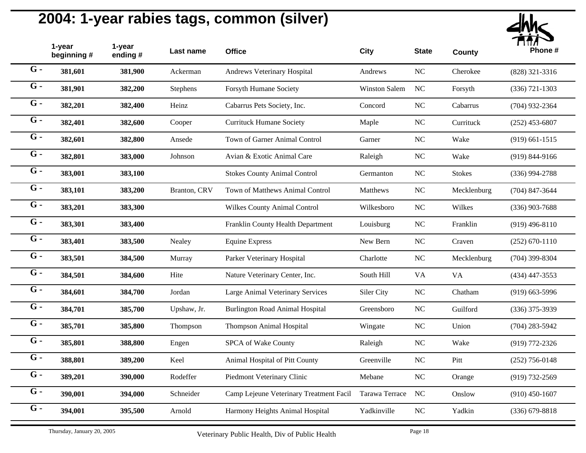

|       | 1-year<br>beginning# | 1-year<br>ending # | Last name    | <b>Office</b>                           | City                 | <b>State</b> | <b>County</b> | Phone #            |
|-------|----------------------|--------------------|--------------|-----------------------------------------|----------------------|--------------|---------------|--------------------|
| $G -$ | 381,601              | 381,900            | Ackerman     | Andrews Veterinary Hospital             | Andrews              | $NC$         | Cherokee      | $(828)$ 321-3316   |
| $G -$ | 381,901              | 382,200            | Stephens     | Forsyth Humane Society                  | <b>Winston Salem</b> | NC           | Forsyth       | $(336)$ 721-1303   |
| $G -$ | 382,201              | 382,400            | Heinz        | Cabarrus Pets Society, Inc.             | Concord              | NC           | Cabarrus      | $(704)$ 932-2364   |
| $G -$ | 382,401              | 382,600            | Cooper       | <b>Currituck Humane Society</b>         | Maple                | $\rm NC$     | Currituck     | $(252)$ 453-6807   |
| $G -$ | 382,601              | 382,800            | Ansede       | Town of Garner Animal Control           | Garner               | $_{\rm NC}$  | Wake          | $(919) 661 - 1515$ |
| $G -$ | 382,801              | 383,000            | Johnson      | Avian & Exotic Animal Care              | Raleigh              | $\rm NC$     | Wake          | $(919) 844 - 9166$ |
| $G -$ | 383,001              | 383,100            |              | <b>Stokes County Animal Control</b>     | Germanton            | NC           | <b>Stokes</b> | $(336)$ 994-2788   |
| $G -$ | 383,101              | 383,200            | Branton, CRV | <b>Town of Matthews Animal Control</b>  | Matthews             | $\rm NC$     | Mecklenburg   | $(704)$ 847-3644   |
| $G -$ | 383,201              | 383,300            |              | Wilkes County Animal Control            | Wilkesboro           | NC           | Wilkes        | $(336)$ 903-7688   |
| $G -$ | 383,301              | 383,400            |              | Franklin County Health Department       | Louisburg            | $_{\rm NC}$  | Franklin      | $(919)$ 496-8110   |
| $G -$ | 383,401              | 383,500            | Nealey       | <b>Equine Express</b>                   | New Bern             | $\rm NC$     | Craven        | $(252) 670 - 1110$ |
| $G -$ | 383,501              | 384,500            | Murray       | Parker Veterinary Hospital              | Charlotte            | $\rm NC$     | Mecklenburg   | $(704)$ 399-8304   |
| $G -$ | 384,501              | 384,600            | Hite         | Nature Veterinary Center, Inc.          | South Hill           | <b>VA</b>    | VA            | $(434)$ 447-3553   |
| $G -$ | 384,601              | 384,700            | Jordan       | Large Animal Veterinary Services        | Siler City           | NC           | Chatham       | $(919)$ 663-5996   |
| $G -$ | 384,701              | 385,700            | Upshaw, Jr.  | <b>Burlington Road Animal Hospital</b>  | Greensboro           | $\rm NC$     | Guilford      | $(336)$ 375-3939   |
| $G -$ | 385,701              | 385,800            | Thompson     | Thompson Animal Hospital                | Wingate              | $\rm NC$     | Union         | $(704)$ 283-5942   |
| $G -$ | 385,801              | 388,800            | Engen        | SPCA of Wake County                     | Raleigh              | $\rm NC$     | Wake          | $(919) 772 - 2326$ |
| $G -$ | 388,801              | 389,200            | Keel         | Animal Hospital of Pitt County          | Greenville           | $\rm NC$     | Pitt          | $(252)$ 756-0148   |
| $G -$ | 389,201              | 390,000            | Rodeffer     | Piedmont Veterinary Clinic              | Mebane               | $\rm NC$     | Orange        | $(919) 732 - 2569$ |
| $G -$ | 390,001              | 394,000            | Schneider    | Camp Lejeune Veterinary Treatment Facil | Tarawa Terrace       | NC           | Onslow        | $(910)$ 450-1607   |
| $G -$ | 394,001              | 395,500            | Arnold       | Harmony Heights Animal Hospital         | Yadkinville          | NC           | Yadkin        | $(336)$ 679-8818   |
|       |                      |                    |              |                                         |                      |              |               |                    |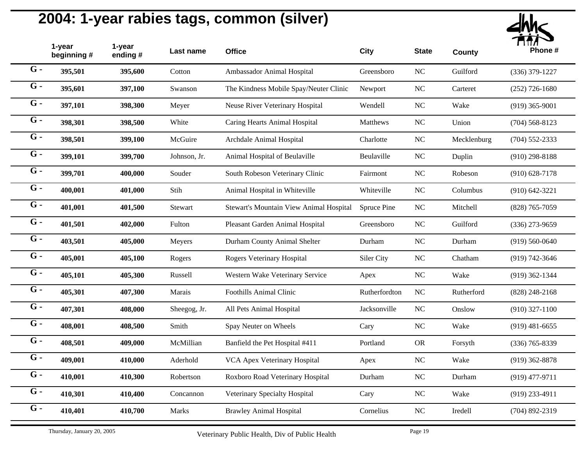

|       | 1-year<br>beginning # | 1-year<br>ending# | Last name    | <b>Office</b>                           | City          | <b>State</b>     | <b>County</b> | Phone #            |
|-------|-----------------------|-------------------|--------------|-----------------------------------------|---------------|------------------|---------------|--------------------|
| $G -$ | 395,501               | 395,600           | Cotton       | Ambassador Animal Hospital              | Greensboro    | $\rm NC$         | Guilford      | $(336)$ 379-1227   |
| $G -$ | 395,601               | 397,100           | Swanson      | The Kindness Mobile Spay/Neuter Clinic  | Newport       | $\rm NC$         | Carteret      | $(252)$ 726-1680   |
| $G -$ | 397,101               | 398,300           | Meyer        | Neuse River Veterinary Hospital         | Wendell       | NC               | Wake          | $(919)$ 365-9001   |
| $G -$ | 398,301               | 398,500           | White        | Caring Hearts Animal Hospital           | Matthews      | $\rm NC$         | Union         | $(704)$ 568-8123   |
| $G -$ | 398,501               | 399,100           | McGuire      | Archdale Animal Hospital                | Charlotte     | $\rm NC$         | Mecklenburg   | $(704)$ 552-2333   |
| $G -$ | 399,101               | 399,700           | Johnson, Jr. | Animal Hospital of Beulaville           | Beulaville    | NC               | Duplin        | $(910)$ 298-8188   |
| $G -$ | 399,701               | 400,000           | Souder       | South Robeson Veterinary Clinic         | Fairmont      | NC               | Robeson       | $(910)$ 628-7178   |
| $G -$ | 400,001               | 401,000           | Stih         | Animal Hospital in Whiteville           | Whiteville    | $\rm NC$         | Columbus      | $(910) 642 - 3221$ |
| $G -$ | 401,001               | 401,500           | Stewart      | Stewart's Mountain View Animal Hospital | Spruce Pine   | $\rm NC$         | Mitchell      | $(828)$ 765-7059   |
| $G -$ | 401,501               | 402,000           | Fulton       | Pleasant Garden Animal Hospital         | Greensboro    | $\rm NC$         | Guilford      | $(336)$ 273-9659   |
| $G -$ | 403,501               | 405,000           | Meyers       | Durham County Animal Shelter            | Durham        | $\rm NC$         | Durham        | $(919) 560 - 0640$ |
| $G -$ | 405,001               | 405,100           | Rogers       | Rogers Veterinary Hospital              | Siler City    | NC               | Chatham       | $(919) 742 - 3646$ |
| $G -$ | 405,101               | 405,300           | Russell      | Western Wake Veterinary Service         | Apex          | $\rm NC$         | Wake          | $(919)$ 362-1344   |
| $G -$ | 405,301               | 407,300           | Marais       | <b>Foothills Animal Clinic</b>          | Rutherfordton | NC               | Rutherford    | $(828)$ 248-2168   |
| $G -$ | 407,301               | 408,000           | Sheegog, Jr. | All Pets Animal Hospital                | Jacksonville  | $\rm NC$         | Onslow        | $(910)$ 327-1100   |
| $G -$ | 408,001               | 408,500           | Smith        | Spay Neuter on Wheels                   | Cary          | $\rm NC$         | Wake          | $(919)$ 481-6655   |
| $G -$ | 408,501               | 409,000           | McMillian    | Banfield the Pet Hospital #411          | Portland      | <b>OR</b>        | Forsyth       | $(336)$ 765-8339   |
| $G -$ | 409,001               | 410,000           | Aderhold     | VCA Apex Veterinary Hospital            | Apex          | $\rm NC$         | Wake          | $(919)$ 362-8878   |
| $G -$ | 410,001               | 410,300           | Robertson    | Roxboro Road Veterinary Hospital        | Durham        | $_{\mathrm{NC}}$ | Durham        | $(919)$ 477-9711   |
| $G -$ | 410,301               | 410,400           | Concannon    | Veterinary Specialty Hospital           | Cary          | $\rm NC$         | Wake          | $(919)$ 233-4911   |
| $G -$ | 410,401               | 410,700           | Marks        | <b>Brawley Animal Hospital</b>          | Cornelius     | $\rm NC$         | Iredell       | $(704)$ 892-2319   |
|       |                       |                   |              |                                         |               |                  |               |                    |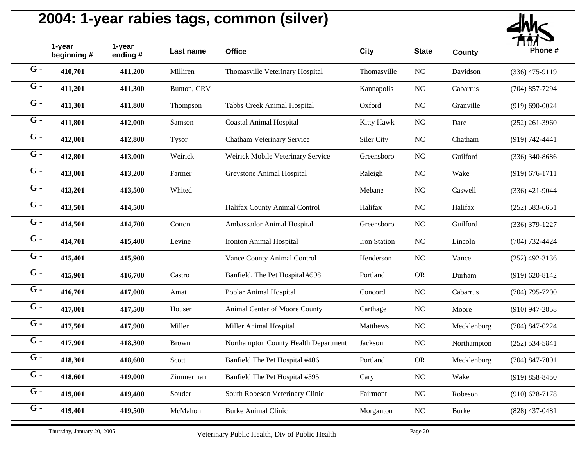

|                  | 1-year<br>beginning# | 1-year<br>ending # | Last name    | <b>Office</b>                        | <b>City</b>  | <b>State</b> | <b>County</b> | Phone #            |
|------------------|----------------------|--------------------|--------------|--------------------------------------|--------------|--------------|---------------|--------------------|
| $G -$            | 410,701              | 411,200            | Milliren     | Thomasville Veterinary Hospital      | Thomasville  | $\rm NC$     | Davidson      | $(336)$ 475-9119   |
| $G -$            | 411,201              | 411,300            | Bunton, CRV  |                                      | Kannapolis   | NC           | Cabarrus      | $(704)$ 857-7294   |
| $G -$            | 411,301              | 411,800            | Thompson     | Tabbs Creek Animal Hospital          | Oxford       | NC           | Granville     | $(919) 690 - 0024$ |
| $G -$            | 411,801              | 412,000            | Samson       | <b>Coastal Animal Hospital</b>       | Kitty Hawk   | <b>NC</b>    | Dare          | $(252)$ 261-3960   |
| $G -$            | 412,001              | 412,800            | <b>Tysor</b> | Chatham Veterinary Service           | Siler City   | <b>NC</b>    | Chatham       | $(919) 742 - 4441$ |
| $G -$            | 412,801              | 413,000            | Weirick      | Weirick Mobile Veterinary Service    | Greensboro   | NC           | Guilford      | $(336)$ 340-8686   |
| $G -$            | 413,001              | 413,200            | Farmer       | Greystone Animal Hospital            | Raleigh      | NC           | Wake          | $(919) 676 - 1711$ |
| $G -$            | 413,201              | 413,500            | Whited       |                                      | Mebane       | <b>NC</b>    | Caswell       | $(336)$ 421-9044   |
| $G -$            | 413,501              | 414,500            |              | Halifax County Animal Control        | Halifax      | <b>NC</b>    | Halifax       | $(252) 583 - 6651$ |
| $G -$            | 414,501              | 414,700            | Cotton       | Ambassador Animal Hospital           | Greensboro   | NC           | Guilford      | $(336)$ 379-1227   |
| $G -$            | 414,701              | 415,400            | Levine       | Ironton Animal Hospital              | Iron Station | $\rm NC$     | Lincoln       | $(704) 732 - 4424$ |
| $G -$            | 415,401              | 415,900            |              | Vance County Animal Control          | Henderson    | <b>NC</b>    | Vance         | $(252)$ 492-3136   |
| $\overline{G}$ - | 415,901              | 416,700            | Castro       | Banfield, The Pet Hospital #598      | Portland     | <b>OR</b>    | Durham        | $(919) 620 - 8142$ |
| $G -$            | 416,701              | 417,000            | Amat         | Poplar Animal Hospital               | Concord      | <b>NC</b>    | Cabarrus      | $(704)$ 795-7200   |
| $G -$            | 417,001              | 417,500            | Houser       | Animal Center of Moore County        | Carthage     | <b>NC</b>    | Moore         | $(910)$ 947-2858   |
| $G -$            | 417,501              | 417,900            | Miller       | Miller Animal Hospital               | Matthews     | NC           | Mecklenburg   | $(704)$ 847-0224   |
| $G -$            | 417,901              | 418,300            | <b>Brown</b> | Northampton County Health Department | Jackson      | $\rm NC$     | Northampton   | $(252) 534 - 5841$ |
| $G -$            | 418,301              | 418,600            | Scott        | Banfield The Pet Hospital #406       | Portland     | <b>OR</b>    | Mecklenburg   | $(704)$ 847-7001   |
| $\overline{G}$ - | 418,601              | 419,000            | Zimmerman    | Banfield The Pet Hospital #595       | Cary         | NC           | Wake          | $(919) 858 - 8450$ |
| $G -$            | 419,001              | 419,400            | Souder       | South Robeson Veterinary Clinic      | Fairmont     | NC           | Robeson       | $(910) 628 - 7178$ |
| $G -$            | 419,401              | 419,500            | McMahon      | <b>Burke Animal Clinic</b>           | Morganton    | <b>NC</b>    | <b>Burke</b>  | $(828)$ 437-0481   |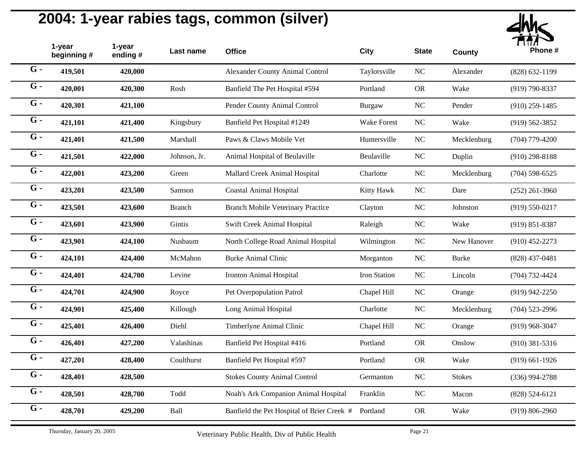

|       | 1-year<br>beginning # | 1-year<br>ending# | Last name     | <b>Office</b>                              | City               | <b>State</b> | <b>County</b> | Phone #            |
|-------|-----------------------|-------------------|---------------|--------------------------------------------|--------------------|--------------|---------------|--------------------|
| $G -$ | 419,501               | 420,000           |               | <b>Alexander County Animal Control</b>     | Taylorsville       | $\rm NC$     | Alexander     | $(828) 632 - 1199$ |
| $G -$ | 420,001               | 420,300           | Rosh          | Banfield The Pet Hospital #594             | Portland           | <b>OR</b>    | Wake          | $(919) 790 - 8337$ |
| $G -$ | 420,301               | 421,100           |               | Pender County Animal Control               | <b>Burgaw</b>      | NC           | Pender        | $(910)$ 259-1485   |
| $G -$ | 421,101               | 421,400           | Kingsbury     | Banfield Pet Hospital #1249                | <b>Wake Forest</b> | $\rm NC$     | Wake          | $(919) 562 - 3852$ |
| $G -$ | 421,401               | 421,500           | Marshall      | Paws & Claws Mobile Vet                    | Huntersville       | $\rm NC$     | Mecklenburg   | $(704)$ 779-4200   |
| $G -$ | 421,501               | 422,000           | Johnson, Jr.  | Animal Hospital of Beulaville              | Beulaville         | $\rm NC$     | Duplin        | $(910)$ 298-8188   |
| $G -$ | 422,001               | 423,200           | Green         | Mallard Creek Animal Hospital              | Charlotte          | NC           | Mecklenburg   | $(704)$ 598-6525   |
| $G -$ | 423,201               | 423,500           | Samson        | <b>Coastal Animal Hospital</b>             | Kitty Hawk         | $\rm NC$     | Dare          | $(252)$ 261-3960   |
| $G -$ | 423,501               | 423,600           | <b>Branch</b> | <b>Branch Mobile Veterinary Practice</b>   | Clayton            | $\rm NC$     | Johnston      | $(919) 550 - 0217$ |
| $G -$ | 423,601               | 423,900           | Gintis        | Swift Creek Animal Hospital                | Raleigh            | $\rm NC$     | Wake          | $(919) 851 - 8387$ |
| $G -$ | 423,901               | 424,100           | Nusbaum       | North College Road Animal Hospital         | Wilmington         | $\rm NC$     | New Hanover   | $(910)$ 452-2273   |
| $G -$ | 424,101               | 424,400           | McMahon       | <b>Burke Animal Clinic</b>                 | Morganton          | $\rm NC$     | <b>Burke</b>  | $(828)$ 437-0481   |
| $G -$ | 424,401               | 424,700           | Levine        | Ironton Animal Hospital                    | Iron Station       | $\rm NC$     | Lincoln       | $(704) 732 - 4424$ |
| $G -$ | 424,701               | 424,900           | Royce         | Pet Overpopulation Patrol                  | Chapel Hill        | NC           | Orange        | $(919)$ 942-2250   |
| $G -$ | 424,901               | 425,400           | Killough      | Long Animal Hospital                       | Charlotte          | $\rm NC$     | Mecklenburg   | $(704)$ 523-2996   |
| $G -$ | 425,401               | 426,400           | Diehl         | Timberlyne Animal Clinic                   | Chapel Hill        | $\rm NC$     | Orange        | $(919)$ 968-3047   |
| $G -$ | 426,401               | 427,200           | Valashinas    | Banfield Pet Hospital #416                 | Portland           | <b>OR</b>    | Onslow        | $(910)$ 381-5316   |
| $G -$ | 427,201               | 428,400           | Coulthurst    | Banfield Pet Hospital #597                 | Portland           | <b>OR</b>    | Wake          | $(919)$ 661-1926   |
| $G -$ | 428,401               | 428,500           |               | <b>Stokes County Animal Control</b>        | Germanton          | $\rm NC$     | <b>Stokes</b> | $(336)$ 994-2788   |
| $G -$ | 428,501               | 428,700           | Todd          | Noah's Ark Companion Animal Hospital       | Franklin           | $\rm NC$     | Macon         | $(828) 524 - 6121$ |
| $G -$ | 428,701               | 429,200           | Ball          | Banfield the Pet Hospital of Brier Creek # | Portland           | <b>OR</b>    | Wake          | $(919) 806 - 2960$ |
|       |                       |                   |               |                                            |                    |              |               |                    |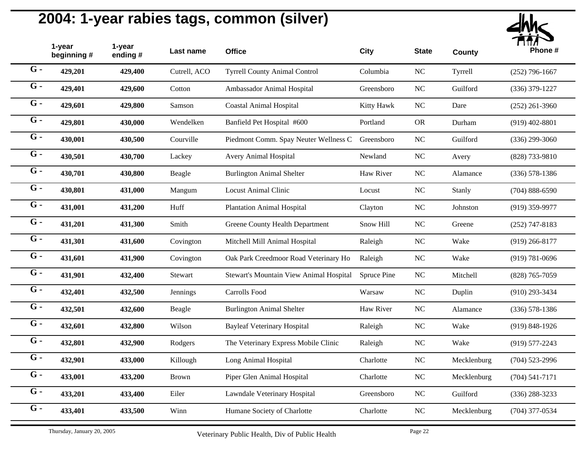

| 1-year<br>beginning# | 1-year<br>ending # | Last name    | <b>Office</b>                           | City        | <b>State</b>                          | <b>County</b> | Phone #            |
|----------------------|--------------------|--------------|-----------------------------------------|-------------|---------------------------------------|---------------|--------------------|
| 429,201              | 429,400            | Cutrell, ACO | <b>Tyrrell County Animal Control</b>    | Columbia    | $\rm NC$                              | Tyrrell       | $(252)$ 796-1667   |
| 429,401              | 429,600            | Cotton       | Ambassador Animal Hospital              | Greensboro  | NC                                    | Guilford      | $(336)$ 379-1227   |
| 429,601              | 429,800            | Samson       | <b>Coastal Animal Hospital</b>          | Kitty Hawk  | NC                                    | Dare          | $(252)$ 261-3960   |
| 429,801              | 430,000            | Wendelken    | Banfield Pet Hospital #600              | Portland    | <b>OR</b>                             | Durham        | $(919)$ 402-8801   |
| 430,001              | 430,500            | Courville    |                                         | Greensboro  | <b>NC</b>                             | Guilford      | $(336)$ 299-3060   |
| 430,501              | 430,700            | Lackey       | Avery Animal Hospital                   | Newland     | $\rm NC$                              | Avery         | (828) 733-9810     |
| 430,701              | 430,800            | Beagle       | <b>Burlington Animal Shelter</b>        | Haw River   | $\rm NC$                              | Alamance      | $(336) 578 - 1386$ |
| 430,801              | 431,000            | Mangum       | <b>Locust Animal Clinic</b>             | Locust      | NC                                    | Stanly        | $(704) 888 - 6590$ |
| 431,001              | 431,200            | Huff         | <b>Plantation Animal Hospital</b>       | Clayton     | $\rm NC$                              | Johnston      | $(919)$ 359-9977   |
| 431,201              | 431,300            | Smith        | Greene County Health Department         | Snow Hill   | NC                                    | Greene        | $(252)$ 747-8183   |
| 431,301              | 431,600            | Covington    | Mitchell Mill Animal Hospital           | Raleigh     | NC                                    | Wake          | $(919)$ 266-8177   |
| 431,601              | 431,900            | Covington    | Oak Park Creedmoor Road Veterinary Ho   | Raleigh     | NC                                    | Wake          | $(919) 781 - 0696$ |
| 431,901              | 432,400            | Stewart      | Stewart's Mountain View Animal Hospital | Spruce Pine | $\rm NC$                              | Mitchell      | $(828)$ 765-7059   |
| 432,401              | 432,500            | Jennings     | <b>Carrolls Food</b>                    | Warsaw      | $\rm NC$                              | Duplin        | $(910)$ 293-3434   |
| 432,501              | 432,600            | Beagle       | <b>Burlington Animal Shelter</b>        | Haw River   | $\rm NC$                              | Alamance      | $(336) 578 - 1386$ |
| 432,601              | 432,800            | Wilson       | <b>Bayleaf Veterinary Hospital</b>      | Raleigh     | $\rm NC$                              | Wake          | $(919) 848 - 1926$ |
| 432,801              | 432,900            | Rodgers      | The Veterinary Express Mobile Clinic    | Raleigh     | $\rm NC$                              | Wake          | $(919) 577 - 2243$ |
| 432,901              | 433,000            | Killough     | Long Animal Hospital                    | Charlotte   | NC                                    | Mecklenburg   | $(704)$ 523-2996   |
| 433,001              | 433,200            | Brown        | Piper Glen Animal Hospital              | Charlotte   | $\rm NC$                              | Mecklenburg   | $(704) 541 - 7171$ |
| 433,201              | 433,400            | Eiler        | Lawndale Veterinary Hospital            | Greensboro  | <b>NC</b>                             | Guilford      | $(336)$ 288-3233   |
| 433,401              | 433,500            | Winn         | Humane Society of Charlotte             | Charlotte   | NC                                    | Mecklenburg   | $(704)$ 377-0534   |
|                      |                    |              |                                         |             | Piedmont Comm. Spay Neuter Wellness C |               |                    |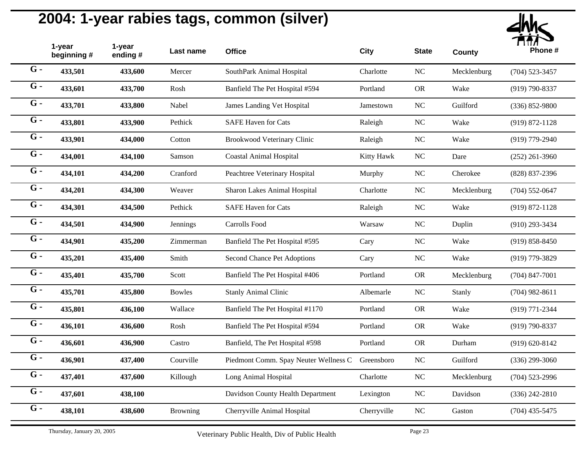

|                  | 1-year<br>beginning # | 1-year<br>ending # | Last name       | <b>Office</b>                         | <b>City</b> | <b>State</b> | <b>County</b> | Phone #            |
|------------------|-----------------------|--------------------|-----------------|---------------------------------------|-------------|--------------|---------------|--------------------|
| $G -$            | 433,501               | 433,600            | Mercer          | SouthPark Animal Hospital             | Charlotte   | $\rm NC$     | Mecklenburg   | $(704)$ 523-3457   |
| $G -$            | 433,601               | 433,700            | Rosh            | Banfield The Pet Hospital #594        | Portland    | <b>OR</b>    | Wake          | $(919) 790 - 8337$ |
| $G -$            | 433,701               | 433,800            | Nabel           | James Landing Vet Hospital            | Jamestown   | $\rm NC$     | Guilford      | $(336) 852 - 9800$ |
| $G -$            | 433,801               | 433,900            | Pethick         | <b>SAFE Haven for Cats</b>            | Raleigh     | NC           | Wake          | $(919) 872 - 1128$ |
| $G -$            | 433,901               | 434,000            | Cotton          | Brookwood Veterinary Clinic           | Raleigh     | <b>NC</b>    | Wake          | $(919)$ 779-2940   |
| $G -$            | 434,001               | 434,100            | Samson          | <b>Coastal Animal Hospital</b>        | Kitty Hawk  | $\rm NC$     | Dare          | $(252)$ 261-3960   |
| $G -$            | 434,101               | 434,200            | Cranford        | Peachtree Veterinary Hospital         | Murphy      | NC           | Cherokee      | (828) 837-2396     |
| $G -$            | 434,201               | 434,300            | Weaver          | Sharon Lakes Animal Hospital          | Charlotte   | $\rm NC$     | Mecklenburg   | $(704)$ 552-0647   |
| $G -$            | 434,301               | 434,500            | Pethick         | <b>SAFE Haven for Cats</b>            | Raleigh     | <b>NC</b>    | Wake          | $(919) 872 - 1128$ |
| $G -$            | 434,501               | 434,900            | Jennings        | Carrolls Food                         | Warsaw      | $\rm NC$     | Duplin        | $(910)$ 293-3434   |
| $G -$            | 434,901               | 435,200            | Zimmerman       | Banfield The Pet Hospital #595        | Cary        | <b>NC</b>    | Wake          | $(919) 858 - 8450$ |
| $G -$            | 435,201               | 435,400            | Smith           | Second Chance Pet Adoptions           | Cary        | $\rm NC$     | Wake          | (919) 779-3829     |
| $\overline{G}$ - | 435,401               | 435,700            | Scott           | Banfield The Pet Hospital #406        | Portland    | <b>OR</b>    | Mecklenburg   | $(704)$ 847-7001   |
| $\overline{G}$ - | 435,701               | 435,800            | <b>Bowles</b>   | <b>Stanly Animal Clinic</b>           | Albemarle   | $\rm NC$     | Stanly        | $(704)$ 982-8611   |
| $G -$            | 435,801               | 436,100            | Wallace         | Banfield The Pet Hospital #1170       | Portland    | <b>OR</b>    | Wake          | (919) 771-2344     |
| $G -$            | 436,101               | 436,600            | Rosh            | Banfield The Pet Hospital #594        | Portland    | <b>OR</b>    | Wake          | $(919) 790 - 8337$ |
| $G -$            | 436,601               | 436,900            | Castro          | Banfield, The Pet Hospital #598       | Portland    | <b>OR</b>    | Durham        | $(919) 620 - 8142$ |
| $G -$            | 436,901               | 437,400            | Courville       | Piedmont Comm. Spay Neuter Wellness C | Greensboro  | <b>NC</b>    | Guilford      | $(336)$ 299-3060   |
| $G -$            | 437,401               | 437,600            | Killough        | Long Animal Hospital                  | Charlotte   | NC           | Mecklenburg   | $(704)$ 523-2996   |
| $G -$            | 437,601               | 438,100            |                 | Davidson County Health Department     | Lexington   | $\rm NC$     | Davidson      | $(336)$ 242-2810   |
| $G -$            | 438,101               | 438,600            | <b>Browning</b> | Cherryville Animal Hospital           | Cherryville | $\rm NC$     | Gaston        | $(704)$ 435-5475   |
|                  |                       |                    |                 |                                       |             |              |               |                    |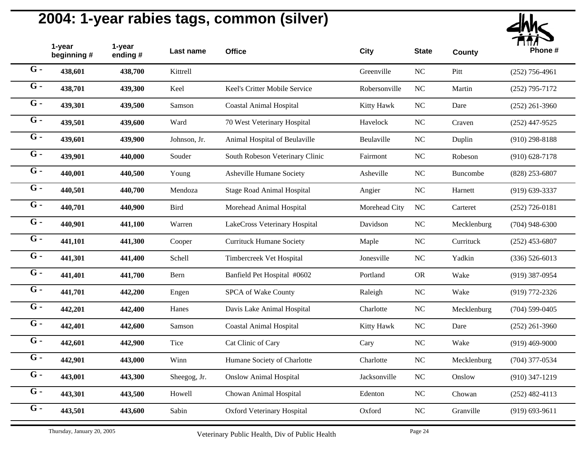

| 1-year<br>beginning# | 1-year<br>ending # | Last name    | <b>Office</b>                     | City          | <b>State</b>   | <b>County</b> | Phone #            |
|----------------------|--------------------|--------------|-----------------------------------|---------------|----------------|---------------|--------------------|
| 438,601              | 438,700            | Kittrell     |                                   | Greenville    | $\rm NC$       | Pitt          | $(252)$ 756-4961   |
| 438,701              | 439,300            | Keel         | Keel's Critter Mobile Service     | Robersonville | N <sub>C</sub> | Martin        | $(252)$ 795-7172   |
| 439,301              | 439,500            | Samson       | <b>Coastal Animal Hospital</b>    | Kitty Hawk    | $\rm NC$       | Dare          | $(252)$ 261-3960   |
| 439,501              | 439,600            | Ward         | 70 West Veterinary Hospital       | Havelock      | NC             | Craven        | $(252)$ 447-9525   |
| 439,601              | 439,900            | Johnson, Jr. | Animal Hospital of Beulaville     | Beulaville    | NC             | Duplin        | $(910)$ 298-8188   |
| 439,901              | 440,000            | Souder       | South Robeson Veterinary Clinic   | Fairmont      | NC             | Robeson       | $(910) 628 - 7178$ |
| 440,001              | 440,500            | Young        | Asheville Humane Society          | Asheville     | $NC$           | Buncombe      | $(828)$ 253-6807   |
| 440,501              | 440,700            | Mendoza      | <b>Stage Road Animal Hospital</b> | Angier        | NC             | Harnett       | $(919) 639 - 3337$ |
| 440,701              | 440,900            | <b>Bird</b>  | Morehead Animal Hospital          | Morehead City | NC             | Carteret      | $(252)$ 726-0181   |
| 440,901              | 441,100            | Warren       | LakeCross Veterinary Hospital     | Davidson      | $\rm NC$       | Mecklenburg   | $(704)$ 948-6300   |
| 441,101              | 441,300            | Cooper       | <b>Currituck Humane Society</b>   | Maple         | $\rm NC$       | Currituck     | $(252)$ 453-6807   |
| 441,301              | 441,400            | Schell       | Timbercreek Vet Hospital          | Jonesville    | $\rm NC$       | Yadkin        | $(336) 526 - 6013$ |
| 441,401              | 441,700            | Bern         | Banfield Pet Hospital #0602       | Portland      | <b>OR</b>      | Wake          | $(919)$ 387-0954   |
| 441,701              | 442,200            | Engen        | SPCA of Wake County               | Raleigh       | $NC$           | Wake          | $(919)$ 772-2326   |
| 442,201              | 442,400            | Hanes        | Davis Lake Animal Hospital        | Charlotte     | $\rm NC$       | Mecklenburg   | $(704)$ 599-0405   |
| 442,401              | 442,600            | Samson       | <b>Coastal Animal Hospital</b>    | Kitty Hawk    | $\rm NC$       | Dare          | $(252)$ 261-3960   |
| 442,601              | 442,900            | Tice         | Cat Clinic of Cary                | Cary          | NC             | Wake          | $(919)$ 469-9000   |
| 442,901              | 443,000            | Winn         | Humane Society of Charlotte       | Charlotte     | $\rm NC$       | Mecklenburg   | $(704)$ 377-0534   |
| 443,001              | 443,300            | Sheegog, Jr. | <b>Onslow Animal Hospital</b>     | Jacksonville  | $\rm NC$       | Onslow        | $(910)$ 347-1219   |
| 443,301              | 443,500            | Howell       | Chowan Animal Hospital            | Edenton       | $NC$           | Chowan        | $(252)$ 482-4113   |
| 443,501              | 443,600            | Sabin        | <b>Oxford Veterinary Hospital</b> | Oxford        | N <sub>C</sub> | Granville     | $(919) 693 - 9611$ |
|                      |                    |              |                                   |               |                |               |                    |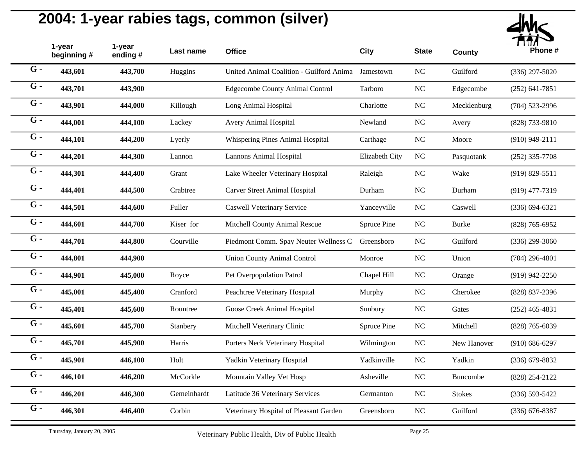

|                  | 1-year<br>beginning # | 1-year<br>ending # | Last name   | <b>Office</b>                            | <b>City</b>    | <b>State</b> | <b>County</b> | Phone #            |
|------------------|-----------------------|--------------------|-------------|------------------------------------------|----------------|--------------|---------------|--------------------|
| $G -$            | 443,601               | 443,700            | Huggins     | United Animal Coalition - Guilford Anima | Jamestown      | ${\rm NC}$   | Guilford      | $(336)$ 297-5020   |
| $G -$            | 443,701               | 443,900            |             | <b>Edgecombe County Animal Control</b>   | Tarboro        | $_{\rm NC}$  | Edgecombe     | $(252)$ 641-7851   |
| $G -$            | 443,901               | 444,000            | Killough    | Long Animal Hospital                     | Charlotte      | $\rm NC$     | Mecklenburg   | $(704)$ 523-2996   |
| $G -$            | 444,001               | 444,100            | Lackey      | <b>Avery Animal Hospital</b>             | Newland        | $\rm NC$     | Avery         | (828) 733-9810     |
| $G -$            | 444,101               | 444,200            | Lyerly      | Whispering Pines Animal Hospital         | Carthage       | NC           | Moore         | $(910)$ 949-2111   |
| $G -$            | 444,201               | 444,300            | Lannon      | Lannons Animal Hospital                  | Elizabeth City | $\rm NC$     | Pasquotank    | $(252)$ 335-7708   |
| $G -$            | 444,301               | 444,400            | Grant       | Lake Wheeler Veterinary Hospital         | Raleigh        | $_{\rm NC}$  | Wake          | $(919) 829 - 5511$ |
| $\overline{G}$ - | 444,401               | 444,500            | Crabtree    | <b>Carver Street Animal Hospital</b>     | Durham         | NC           | Durham        | $(919)$ 477-7319   |
| $G -$            | 444,501               | 444,600            | Fuller      | <b>Caswell Veterinary Service</b>        | Yanceyville    | NC           | Caswell       | $(336) 694 - 6321$ |
| $G -$            | 444,601               | 444,700            | Kiser for   | Mitchell County Animal Rescue            | Spruce Pine    | $\rm NC$     | <b>Burke</b>  | $(828)$ 765-6952   |
| $G -$            | 444,701               | 444,800            | Courville   | Piedmont Comm. Spay Neuter Wellness C    | Greensboro     | $\rm NC$     | Guilford      | $(336)$ 299-3060   |
| $\overline{G}$ - | 444,801               | 444,900            |             | <b>Union County Animal Control</b>       | Monroe         | $\rm NC$     | Union         | $(704)$ 296-4801   |
| $G -$            | 444,901               | 445,000            | Royce       | Pet Overpopulation Patrol                | Chapel Hill    | NC           | Orange        | $(919)$ 942-2250   |
| $G -$            | 445,001               | 445,400            | Cranford    | Peachtree Veterinary Hospital            | Murphy         | ${\rm NC}$   | Cherokee      | (828) 837-2396     |
| $G -$            | 445,401               | 445,600            | Rountree    | Goose Creek Animal Hospital              | Sunbury        | $_{\rm NC}$  | Gates         | $(252)$ 465-4831   |
| $G -$            | 445,601               | 445,700            | Stanbery    | Mitchell Veterinary Clinic               | Spruce Pine    | $_{\rm NC}$  | Mitchell      | $(828)$ 765-6039   |
| $G -$            | 445,701               | 445,900            | Harris      | Porters Neck Veterinary Hospital         | Wilmington     | NC           | New Hanover   | $(910) 686 - 6297$ |
| $G -$            | 445,901               | 446,100            | Holt        | Yadkin Veterinary Hospital               | Yadkinville    | $\rm NC$     | Yadkin        | $(336)$ 679-8832   |
| $G -$            | 446,101               | 446,200            | McCorkle    | Mountain Valley Vet Hosp                 | Asheville      | NC           | Buncombe      | (828) 254-2122     |
| $G -$            | 446,201               | 446,300            | Gemeinhardt | Latitude 36 Veterinary Services          | Germanton      | ${\rm NC}$   | <b>Stokes</b> | $(336) 593 - 5422$ |
| $G -$            | 446,301               | 446,400            | Corbin      | Veterinary Hospital of Pleasant Garden   | Greensboro     | $\rm NC$     | Guilford      | $(336)$ 676-8387   |